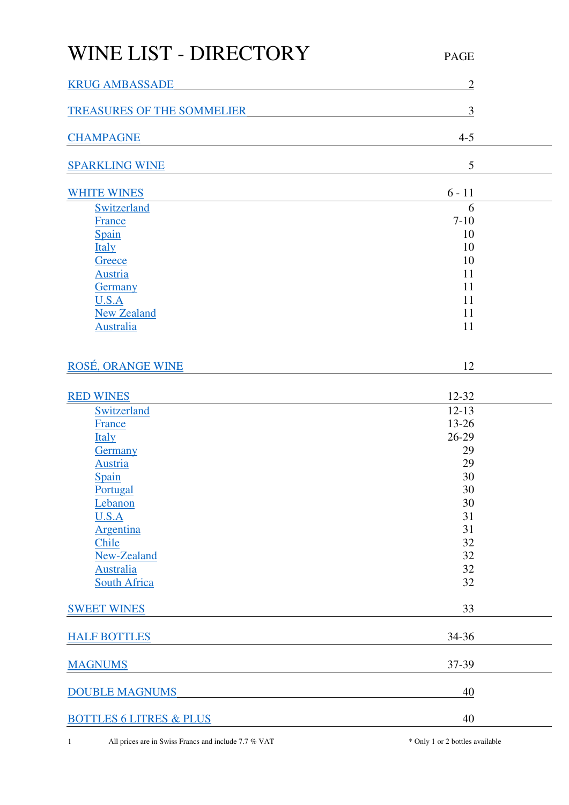## WINE LIST - DIRECTORY PAGE [KRUG AMBASSADE](#page-1-0) 2 [TREASURES OF THE SOMMELIER](#page-2-0) 3 [CHAMPAGNE](#page-3-0) 4-5 [SPARKLING WINE](#page-4-0) 5 [WHITE WINES](#page-5-0) 6 - 11 [Switzerland](#page-5-1) 6 [France](#page-6-0) 7-10  $S_{\text{pain}}$  10  $\frac{Italy}{t}$  $\frac{Italy}{t}$  $\frac{Italy}{t}$  10 [Greece](#page-9-2) 10 [Austria](#page-10-0) 11 [Germany](#page-10-1) 11  $U.S.A$  11 [New Zealand](#page-10-3) 11 [Australia](#page-10-4) 11 [ROSÉ, ORANGE WINE](#page-11-0) 12 [RED WINES](#page-11-1) 12-32 [Switzerland](#page-11-2) 12-13 [France](#page-12-0) 13-26  $\frac{\text{Italy}}{26-29}$  $\frac{\text{Italy}}{26-29}$  $\frac{\text{Italy}}{26-29}$ Germany 29 Austria 29  $S_{\text{pain}}$  30 [Portugal](#page-29-1) 30 [Lebanon](#page-29-2) 30  $U.S.A$  31 [Argentina](#page-31-0) 31  $\frac{\text{Chile}}{\text{22}}$  $\frac{\text{Chile}}{\text{22}}$  $\frac{\text{Chile}}{\text{22}}$ [New-Zealand](#page-31-2) 32 [Australia](#page-31-3) 32 [South Africa](#page-31-4) 32 [SWEET WINES](#page-32-0) 33 [HALF BOTTLES](#page-33-0) 34-36 [MAGNUMS](#page-36-0) 37-39 [DOUBLE MAGNUMS](#page-39-0) 40

[BOTTLES 6 LITRES & PLUS](#page-39-0) 40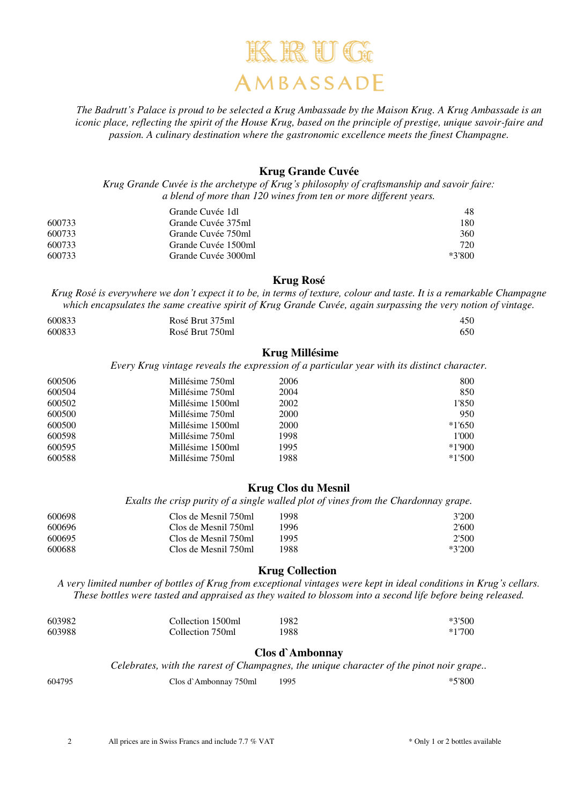

*The Badrutt's Palace is proud to be selected a Krug Ambassade by the Maison Krug. A Krug Ambassade is an iconic place, reflecting the spirit of the House Krug, based on the principle of prestige, unique savoir-faire and passion. A culinary destination where the gastronomic excellence meets the finest Champagne.* 

#### **Krug Grande Cuvée**

<span id="page-1-0"></span>*Krug Grande Cuvée is the archetype of Krug's philosophy of craftsmanship and savoir faire: a blend of more than 120 wines from ten or more different years.* 

|        | Grande Cuvée 1dl    | 48       |
|--------|---------------------|----------|
| 600733 | Grande Cuvée 375ml  | 180      |
| 600733 | Grande Cuvée 750ml  | 360      |
| 600733 | Grande Cuvée 1500ml | 720      |
| 600733 | Grande Cuvée 3000ml | $*3'800$ |

**Krug Rosé** 

*Krug Rosé is everywhere we don't expect it to be, in terms of texture, colour and taste. It is a remarkable Champagne which encapsulates the same creative spirit of Krug Grande Cuvée, again surpassing the very notion of vintage.*

| 600833 | Rosé Brut 375ml | 450 |
|--------|-----------------|-----|
| 600833 | Rosé Brut 750ml | 650 |

#### **Krug Millésime**

*Every Krug vintage reveals the expression of a particular year with its distinct character.* 

| 600506 | Millésime 750ml  | 2006 | 800      |
|--------|------------------|------|----------|
| 600504 | Millésime 750ml  | 2004 | 850      |
| 600502 | Millésime 1500ml | 2002 | 1'850    |
| 600500 | Millésime 750ml  | 2000 | 950      |
| 600500 | Millésime 1500ml | 2000 | $*1'650$ |
| 600598 | Millésime 750ml  | 1998 | 1'000    |
| 600595 | Millésime 1500ml | 1995 | $*1'900$ |
| 600588 | Millésime 750ml  | 1988 | $*1'500$ |

#### **Krug Clos du Mesnil**

*Exalts the crisp purity of a single walled plot of vines from the Chardonnay grape.* 

| 600698 | Clos de Mesnil 750ml | 998ء | 3'200    |
|--------|----------------------|------|----------|
| 600696 | Clos de Mesnil 750ml | .996 | 2'600    |
| 600695 | Clos de Mesnil 750ml | 1995 | 2'500    |
| 600688 | Clos de Mesnil 750ml | 1988 | $*3'200$ |

#### **Krug Collection**

*A very limited number of bottles of Krug from exceptional vintages were kept in ideal conditions in Krug's cellars. These bottles were tasted and appraised as they waited to blossom into a second life before being released.* 

| 603982 | Collection 1500ml | 1982 | $*3'500$ |
|--------|-------------------|------|----------|
| 603988 | Collection 750ml  | 1988 | $*1700$  |

#### **Clos d`Ambonnay**

*Celebrates, with the rarest of Champagnes, the unique character of the pinot noir grape..* 

| 604795 | Clos d`Ambonnay 750ml | 1995 | $*5'800$ |
|--------|-----------------------|------|----------|
|--------|-----------------------|------|----------|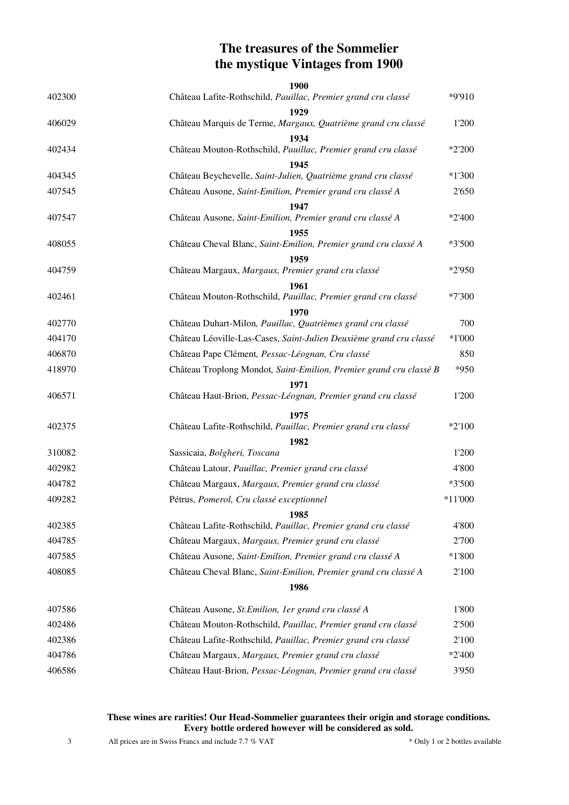## **The treasures of the Sommelier the mystique Vintages from 1900**

<span id="page-2-0"></span>

| 402300 | 1900<br>Château Lafite-Rothschild, Pauillac, Premier grand cru classé | *9'910    |
|--------|-----------------------------------------------------------------------|-----------|
|        | 1929                                                                  |           |
| 406029 | Château Marquis de Terme, Margaux, Quatrième grand cru classé         | 1'200     |
|        | 1934                                                                  |           |
| 402434 | Château Mouton-Rothschild, Pauillac, Premier grand cru classé         | *2'200    |
| 404345 | 1945<br>Château Beychevelle, Saint-Julien, Quatrième grand cru classé | $*1'300$  |
| 407545 | Château Ausone, Saint-Emilion, Premier grand cru classé A             | 2'650     |
|        | 1947                                                                  |           |
| 407547 | Château Ausone, Saint-Emilion, Premier grand cru classé A             | $*2'400$  |
|        | 1955                                                                  |           |
| 408055 | Château Cheval Blanc, Saint-Emilion, Premier grand cru classé A       | $*3'500$  |
|        | 1959                                                                  |           |
| 404759 | Château Margaux, Margaux, Premier grand cru classé                    | *2'950    |
| 402461 | 1961<br>Château Mouton-Rothschild, Pauillac, Premier grand cru classé | $*7'300$  |
|        | 1970                                                                  |           |
| 402770 | Château Duhart-Milon, Pauillac, Quatrièmes grand cru classé           | 700       |
| 404170 | Château Léoville-Las-Cases, Saint-Julien Deuxième grand cru classé    | $*1'000$  |
| 406870 | Château Pape Clément, Pessac-Léognan, Cru classé                      | 850       |
| 418970 | Château Troplong Mondot, Saint-Emilion, Premier grand cru classé B    | *950      |
|        | 1971                                                                  |           |
| 406571 | Château Haut-Brion, Pessac-Léognan, Premier grand cru classé          | 1'200     |
|        | 1975                                                                  |           |
| 402375 | Château Lafite-Rothschild, Pauillac, Premier grand cru classé         | $*2'100$  |
|        | 1982                                                                  |           |
| 310082 | Sassicaia, Bolgheri, Toscana                                          | 1'200     |
| 402982 | Château Latour, Pauillac, Premier grand cru classé                    | 4'800     |
| 404782 | Château Margaux, Margaux, Premier grand cru classé                    | *3'500    |
| 409282 | Pétrus, Pomerol, Cru classé exceptionnel                              | $*11'000$ |
| 402385 | 1985<br>Château Lafite-Rothschild, Pauillac, Premier grand cru classé | 4'800     |
| 404785 | Château Margaux, Margaux, Premier grand cru classé                    | 2'700     |
| 407585 | Château Ausone, Saint-Emilion, Premier grand cru classé A             | $*1'800$  |
| 408085 | Château Cheval Blanc, Saint-Emilion, Premier grand cru classé A       | 2'100     |
|        | 1986                                                                  |           |
|        |                                                                       |           |
| 407586 | Château Ausone, St. Emilion, 1er grand cru classé A                   | 1'800     |
| 402486 | Château Mouton-Rothschild, Pauillac, Premier grand cru classé         | 2'500     |
| 402386 | Château Lafite-Rothschild, Pauillac, Premier grand cru classé         | 2'100     |
| 404786 | Château Margaux, Margaux, Premier grand cru classé                    | $*2'400$  |
| 406586 | Château Haut-Brion, Pessac-Léognan, Premier grand cru classé          | 3'950     |

#### **These wines are rarities! Our Head-Sommelier guarantees their origin and storage conditions. Every bottle ordered however will be considered as sold.**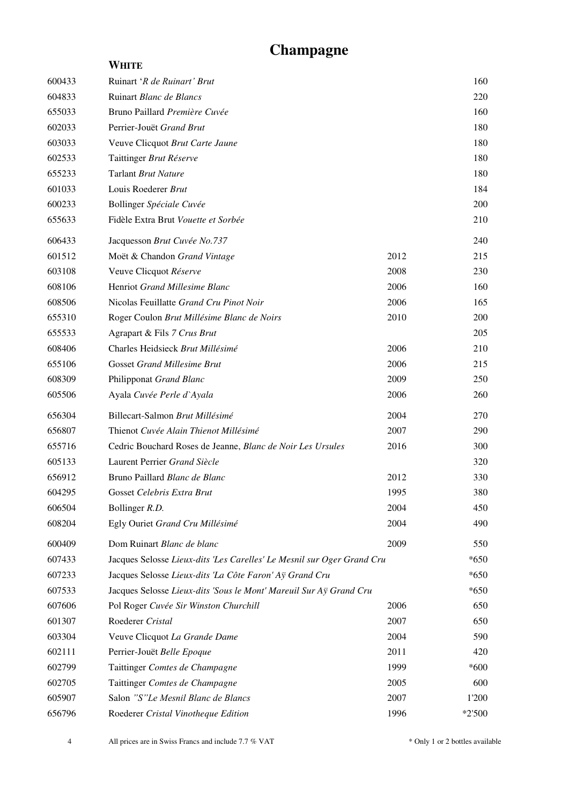# **Champagne**

<span id="page-3-0"></span>

|        | WHITE                                                                  |      |          |
|--------|------------------------------------------------------------------------|------|----------|
| 600433 | Ruinart 'R de Ruinart' Brut                                            |      | 160      |
| 604833 | Ruinart Blanc de Blancs                                                |      | 220      |
| 655033 | Bruno Paillard Première Cuvée                                          |      | 160      |
| 602033 | Perrier-Jouët Grand Brut                                               |      | 180      |
| 603033 | Veuve Clicquot Brut Carte Jaune                                        |      | 180      |
| 602533 | Taittinger Brut Réserve                                                |      | 180      |
| 655233 | Tarlant Brut Nature                                                    |      | 180      |
| 601033 | Louis Roederer Brut                                                    |      | 184      |
| 600233 | Bollinger Spéciale Cuvée                                               |      | 200      |
| 655633 | Fidèle Extra Brut Vouette et Sorbée                                    |      | 210      |
| 606433 | Jacquesson Brut Cuvée No.737                                           |      | 240      |
| 601512 | Moët & Chandon Grand Vintage                                           | 2012 | 215      |
| 603108 | Veuve Clicquot Réserve                                                 | 2008 | 230      |
| 608106 | Henriot Grand Millesime Blanc                                          | 2006 | 160      |
| 608506 | Nicolas Feuillatte Grand Cru Pinot Noir                                | 2006 | 165      |
| 655310 | Roger Coulon Brut Millésime Blanc de Noirs                             | 2010 | 200      |
| 655533 | Agrapart & Fils 7 Crus Brut                                            |      | 205      |
| 608406 | Charles Heidsieck Brut Millésimé                                       | 2006 | 210      |
| 655106 | <b>Gosset Grand Millesime Brut</b>                                     | 2006 | 215      |
| 608309 | Philipponat Grand Blanc                                                | 2009 | 250      |
| 605506 | Ayala Cuvée Perle d'Ayala                                              | 2006 | 260      |
| 656304 | Billecart-Salmon Brut Millésimé                                        | 2004 | 270      |
| 656807 | Thienot Cuvée Alain Thienot Millésimé                                  | 2007 | 290      |
| 655716 | Cedric Bouchard Roses de Jeanne, Blanc de Noir Les Ursules             | 2016 | 300      |
| 605133 | Laurent Perrier Grand Siècle                                           |      | 320      |
| 656912 | Bruno Paillard Blanc de Blanc                                          | 2012 | 330      |
| 604295 | Gosset Celebris Extra Brut                                             | 1995 | 380      |
| 606504 | Bollinger R.D.                                                         | 2004 | 450      |
| 608204 | Egly Ouriet Grand Cru Millésimé                                        | 2004 | 490      |
| 600409 | Dom Ruinart Blanc de blanc                                             | 2009 | 550      |
| 607433 | Jacques Selosse Lieux-dits 'Les Carelles' Le Mesnil sur Oger Grand Cru |      | $*650$   |
| 607233 | Jacques Selosse Lieux-dits 'La Côte Faron' Aÿ Grand Cru                |      | $*650$   |
| 607533 | Jacques Selosse Lieux-dits 'Sous le Mont' Mareuil Sur Aÿ Grand Cru     |      | $*650$   |
| 607606 | Pol Roger Cuvée Sir Winston Churchill                                  | 2006 | 650      |
| 601307 | Roederer Cristal                                                       | 2007 | 650      |
| 603304 | Veuve Clicquot La Grande Dame                                          | 2004 | 590      |
| 602111 | Perrier-Jouët Belle Epoque                                             | 2011 | 420      |
| 602799 | Taittinger Comtes de Champagne                                         | 1999 | $*600$   |
| 602705 | Taittinger Comtes de Champagne                                         | 2005 | 600      |
| 605907 | Salon "S"Le Mesnil Blanc de Blancs                                     | 2007 | 1'200    |
| 656796 | Roederer Cristal Vinotheque Edition                                    | 1996 | $*2'500$ |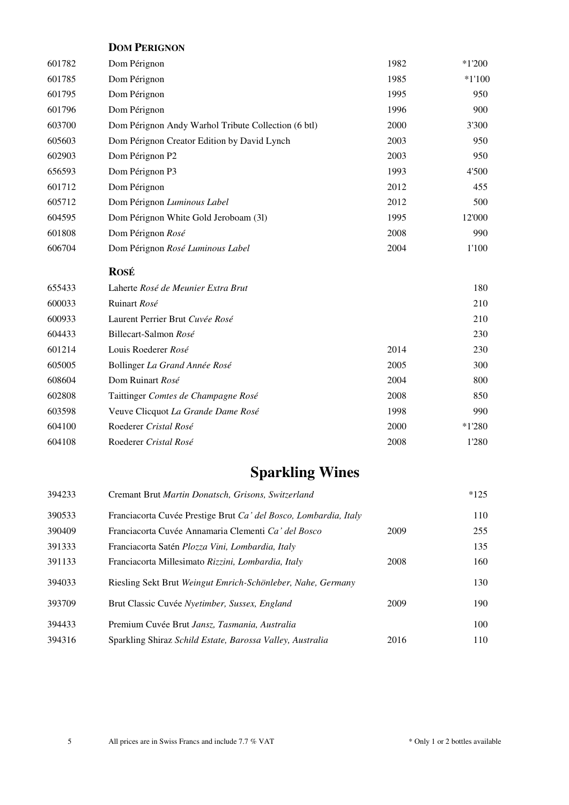|        | <b>DOM PERIGNON</b>                                 |      |          |
|--------|-----------------------------------------------------|------|----------|
| 601782 | Dom Pérignon                                        | 1982 | $*1'200$ |
| 601785 | Dom Pérignon                                        | 1985 | $*1'100$ |
| 601795 | Dom Pérignon                                        | 1995 | 950      |
| 601796 | Dom Pérignon                                        | 1996 | 900      |
| 603700 | Dom Pérignon Andy Warhol Tribute Collection (6 btl) | 2000 | 3'300    |
| 605603 | Dom Pérignon Creator Edition by David Lynch         | 2003 | 950      |
| 602903 | Dom Pérignon P2                                     | 2003 | 950      |
| 656593 | Dom Pérignon P3                                     | 1993 | 4'500    |
| 601712 | Dom Pérignon                                        | 2012 | 455      |
| 605712 | Dom Pérignon Luminous Label                         | 2012 | 500      |
| 604595 | Dom Pérignon White Gold Jeroboam (31)               | 1995 | 12'000   |
| 601808 | Dom Pérignon Rosé                                   | 2008 | 990      |
| 606704 | Dom Pérignon Rosé Luminous Label                    | 2004 | 1'100    |
|        | <b>ROSÉ</b>                                         |      |          |
| 655433 | Laherte Rosé de Meunier Extra Brut                  |      | 180      |
| 600033 | Ruinart Rosé                                        |      | 210      |
| 600933 | Laurent Perrier Brut Cuvée Rosé                     |      | 210      |
| 604433 | Billecart-Salmon Rosé                               |      | 230      |
| 601214 | Louis Roederer Rosé                                 | 2014 | 230      |
| 605005 | Bollinger La Grand Année Rosé                       | 2005 | 300      |
| 608604 | Dom Ruinart Rosé                                    | 2004 | 800      |
| 602808 | Taittinger Comtes de Champagne Rosé                 | 2008 | 850      |
| 603598 | Veuve Clicquot La Grande Dame Rosé                  | 1998 | 990      |
| 604100 | Roederer Cristal Rosé                               | 2000 | $*1'280$ |
| 604108 | Roederer Cristal Rosé                               | 2008 | 1'280    |

# **Sparkling Wines**

<span id="page-4-0"></span>

| 394233 | Cremant Brut Martin Donatsch, Grisons, Switzerland               |      | $*125$ |
|--------|------------------------------------------------------------------|------|--------|
| 390533 | Franciacorta Cuvée Prestige Brut Ca' del Bosco, Lombardia, Italy |      | 110    |
| 390409 | Franciacorta Cuvée Annamaria Clementi Ca' del Bosco              | 2009 | 255    |
| 391333 | Franciacorta Satén Plozza Vini, Lombardia, Italy                 |      | 135    |
| 391133 | Franciacorta Millesimato Rizzini, Lombardia, Italy               | 2008 | 160    |
| 394033 | Riesling Sekt Brut Weingut Emrich-Schönleber, Nahe, Germany      |      | 130    |
| 393709 | Brut Classic Cuvée Nyetimber, Sussex, England                    | 2009 | 190    |
| 394433 | Premium Cuvée Brut Jansz, Tasmania, Australia                    |      | 100    |
| 394316 | Sparkling Shiraz Schild Estate, Barossa Valley, Australia        | 2016 | 110    |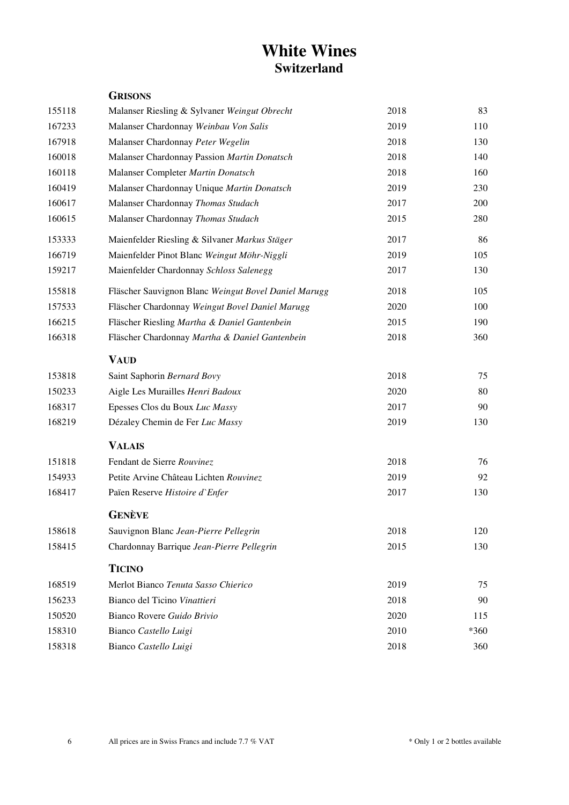## **White Wines Switzerland**

<span id="page-5-1"></span><span id="page-5-0"></span>

|        | <b>GRISONS</b>                                       |      |      |
|--------|------------------------------------------------------|------|------|
| 155118 | Malanser Riesling & Sylvaner Weingut Obrecht         | 2018 | 83   |
| 167233 | Malanser Chardonnay Weinbau Von Salis                | 2019 | 110  |
| 167918 | Malanser Chardonnay Peter Wegelin                    | 2018 | 130  |
| 160018 | Malanser Chardonnay Passion Martin Donatsch          | 2018 | 140  |
| 160118 | Malanser Completer Martin Donatsch                   | 2018 | 160  |
| 160419 | Malanser Chardonnay Unique Martin Donatsch           | 2019 | 230  |
| 160617 | Malanser Chardonnay Thomas Studach                   | 2017 | 200  |
| 160615 | Malanser Chardonnay Thomas Studach                   | 2015 | 280  |
| 153333 | Maienfelder Riesling & Silvaner Markus Stäger        | 2017 | 86   |
| 166719 | Maienfelder Pinot Blanc Weingut Möhr-Niggli          | 2019 | 105  |
| 159217 | Maienfelder Chardonnay Schloss Salenegg              | 2017 | 130  |
| 155818 | Fläscher Sauvignon Blanc Weingut Bovel Daniel Marugg | 2018 | 105  |
| 157533 | Fläscher Chardonnay Weingut Bovel Daniel Marugg      | 2020 | 100  |
| 166215 | Fläscher Riesling Martha & Daniel Gantenbein         | 2015 | 190  |
| 166318 | Fläscher Chardonnay Martha & Daniel Gantenbein       | 2018 | 360  |
|        | <b>VAUD</b>                                          |      |      |
| 153818 | Saint Saphorin Bernard Bovy                          | 2018 | 75   |
| 150233 | Aigle Les Murailles Henri Badoux                     | 2020 | 80   |
| 168317 | Epesses Clos du Boux Luc Massy                       | 2017 | 90   |
| 168219 | Dézaley Chemin de Fer Luc Massy                      | 2019 | 130  |
|        | <b>VALAIS</b>                                        |      |      |
| 151818 | Fendant de Sierre Rouvinez                           | 2018 | 76   |
| 154933 | Petite Arvine Château Lichten Rouvinez               | 2019 | 92   |
| 168417 | Païen Reserve Histoire d'Enfer                       | 2017 | 130  |
|        | <b>GENÈVE</b>                                        |      |      |
| 158618 | Sauvignon Blanc Jean-Pierre Pellegrin                | 2018 | 120  |
| 158415 | Chardonnay Barrique Jean-Pierre Pellegrin            | 2015 | 130  |
|        | <b>TICINO</b>                                        |      |      |
| 168519 | Merlot Bianco Tenuta Sasso Chierico                  | 2019 | 75   |
| 156233 | Bianco del Ticino Vinattieri                         | 2018 | 90   |
| 150520 | Bianco Rovere Guido Brivio                           | 2020 | 115  |
| 158310 | Bianco Castello Luigi                                | 2010 | *360 |
| 158318 | Bianco Castello Luigi                                | 2018 | 360  |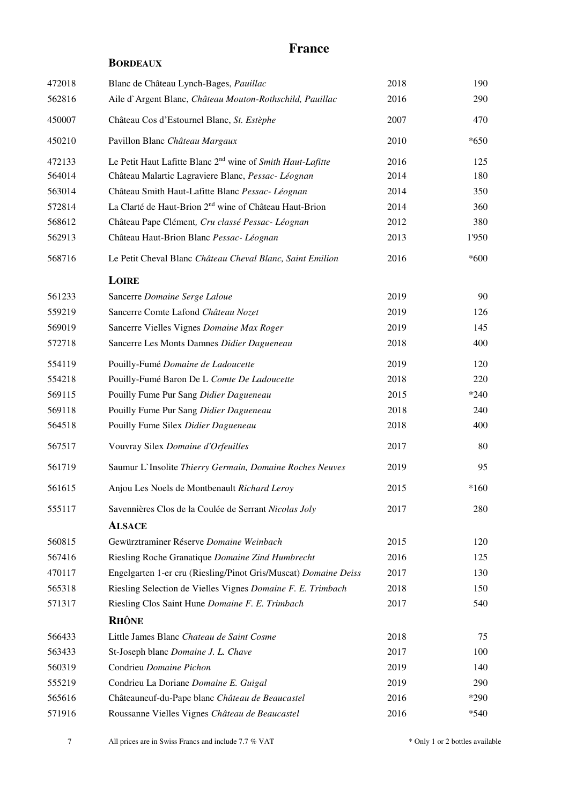## **France**

#### **BORDEAUX**

<span id="page-6-0"></span>

| 472018 | Blanc de Château Lynch-Bages, Pauillac                                 | 2018 | 190    |
|--------|------------------------------------------------------------------------|------|--------|
| 562816 | Aile d'Argent Blanc, Château Mouton-Rothschild, Pauillac               | 2016 | 290    |
| 450007 | Château Cos d'Estournel Blanc, St. Estèphe                             | 2007 | 470    |
| 450210 | Pavillon Blanc Château Margaux                                         | 2010 | $*650$ |
| 472133 | Le Petit Haut Lafitte Blanc 2 <sup>nd</sup> wine of Smith Haut-Lafitte | 2016 | 125    |
| 564014 | Château Malartic Lagraviere Blanc, Pessac- Léognan                     | 2014 | 180    |
| 563014 | Château Smith Haut-Lafitte Blanc Pessac- Léognan                       | 2014 | 350    |
| 572814 | La Clarté de Haut-Brion 2 <sup>nd</sup> wine of Château Haut-Brion     | 2014 | 360    |
| 568612 | Château Pape Clément, Cru classé Pessac- Léognan                       | 2012 | 380    |
| 562913 | Château Haut-Brion Blanc Pessac- Léognan                               | 2013 | 1'950  |
| 568716 | Le Petit Cheval Blanc Château Cheval Blanc, Saint Emilion              | 2016 | $*600$ |
|        | LOIRE                                                                  |      |        |
| 561233 | Sancerre Domaine Serge Laloue                                          | 2019 | 90     |
| 559219 | Sancerre Comte Lafond Château Nozet                                    | 2019 | 126    |
| 569019 | Sancerre Vielles Vignes Domaine Max Roger                              | 2019 | 145    |
| 572718 | Sancerre Les Monts Damnes Didier Dagueneau                             | 2018 | 400    |
| 554119 | Pouilly-Fumé Domaine de Ladoucette                                     | 2019 | 120    |
| 554218 | Pouilly-Fumé Baron De L Comte De Ladoucette                            | 2018 | 220    |
| 569115 | Pouilly Fume Pur Sang Didier Dagueneau                                 | 2015 | $*240$ |
| 569118 | Pouilly Fume Pur Sang Didier Dagueneau                                 | 2018 | 240    |
| 564518 | Pouilly Fume Silex Didier Dagueneau                                    | 2018 | 400    |
| 567517 | Vouvray Silex Domaine d'Orfeuilles                                     | 2017 | 80     |
| 561719 | Saumur L'Insolite Thierry Germain, Domaine Roches Neuves               | 2019 | 95     |
| 561615 | Anjou Les Noels de Montbenault Richard Leroy                           | 2015 | $*160$ |
| 555117 | Savennières Clos de la Coulée de Serrant Nicolas Joly                  | 2017 | 280    |
|        | <b>ALSACE</b>                                                          |      |        |
| 560815 | Gewürztraminer Réserve Domaine Weinbach                                | 2015 | 120    |
| 567416 | Riesling Roche Granatique Domaine Zind Humbrecht                       | 2016 | 125    |
| 470117 | Engelgarten 1-er cru (Riesling/Pinot Gris/Muscat) Domaine Deiss        | 2017 | 130    |
| 565318 | Riesling Selection de Vielles Vignes Domaine F. E. Trimbach            | 2018 | 150    |
| 571317 | Riesling Clos Saint Hune Domaine F. E. Trimbach                        | 2017 | 540    |
|        | <b>RHÔNE</b>                                                           |      |        |
| 566433 | Little James Blanc Chateau de Saint Cosme                              | 2018 | 75     |
| 563433 | St-Joseph blanc Domaine J. L. Chave                                    | 2017 | 100    |
| 560319 | Condrieu Domaine Pichon                                                | 2019 | 140    |
| 555219 | Condrieu La Doriane Domaine E. Guigal                                  | 2019 | 290    |
| 565616 | Châteauneuf-du-Pape blanc Château de Beaucastel                        | 2016 | *290   |
| 571916 | Roussanne Vielles Vignes Château de Beaucastel                         | 2016 | $*540$ |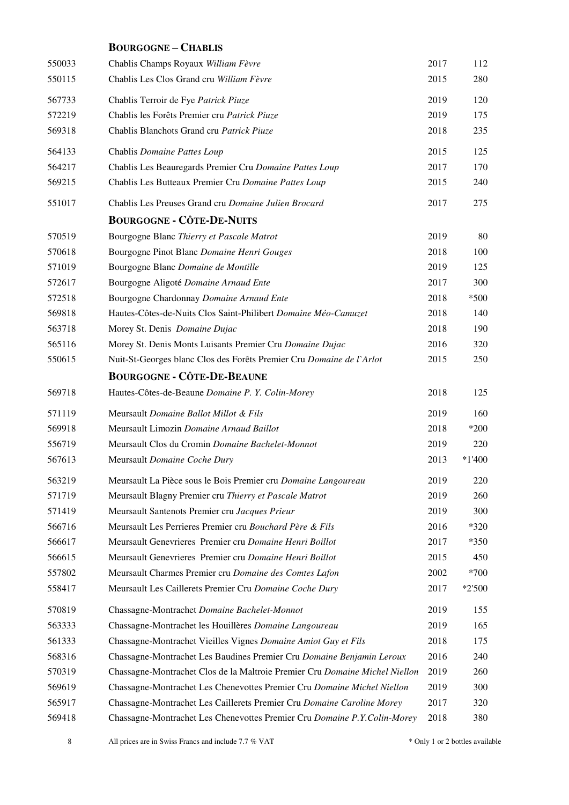|        | <b>BOURGOGNE-CHABLIS</b>                                                    |      |          |
|--------|-----------------------------------------------------------------------------|------|----------|
| 550033 | Chablis Champs Royaux William Fèvre                                         | 2017 | 112      |
| 550115 | Chablis Les Clos Grand cru William Fèvre                                    | 2015 | 280      |
| 567733 | Chablis Terroir de Fye Patrick Piuze                                        | 2019 | 120      |
| 572219 | Chablis les Forêts Premier cru Patrick Piuze                                | 2019 | 175      |
| 569318 | Chablis Blanchots Grand cru Patrick Piuze                                   | 2018 | 235      |
| 564133 | Chablis Domaine Pattes Loup                                                 | 2015 | 125      |
| 564217 | Chablis Les Beauregards Premier Cru Domaine Pattes Loup                     | 2017 | 170      |
| 569215 | Chablis Les Butteaux Premier Cru Domaine Pattes Loup                        | 2015 | 240      |
| 551017 | Chablis Les Preuses Grand cru Domaine Julien Brocard                        | 2017 | 275      |
|        | <b>BOURGOGNE - CÔTE-DE-NUITS</b>                                            |      |          |
| 570519 | Bourgogne Blanc Thierry et Pascale Matrot                                   | 2019 | 80       |
| 570618 | Bourgogne Pinot Blanc Domaine Henri Gouges                                  | 2018 | 100      |
| 571019 | Bourgogne Blanc Domaine de Montille                                         | 2019 | 125      |
| 572617 | Bourgogne Aligoté Domaine Arnaud Ente                                       | 2017 | 300      |
| 572518 | Bourgogne Chardonnay Domaine Arnaud Ente                                    | 2018 | $*500$   |
| 569818 | Hautes-Côtes-de-Nuits Clos Saint-Philibert Domaine Méo-Camuzet              | 2018 | 140      |
| 563718 | Morey St. Denis Domaine Dujac                                               | 2018 | 190      |
| 565116 | Morey St. Denis Monts Luisants Premier Cru Domaine Dujac                    | 2016 | 320      |
| 550615 | Nuit-St-Georges blanc Clos des Forêts Premier Cru Domaine de l'Arlot        | 2015 | 250      |
|        | <b>BOURGOGNE - CÔTE-DE-BEAUNE</b>                                           |      |          |
| 569718 | Hautes-Côtes-de-Beaune Domaine P. Y. Colin-Morey                            | 2018 | 125      |
| 571119 | Meursault Domaine Ballot Millot & Fils                                      | 2019 | 160      |
| 569918 | Meursault Limozin Domaine Arnaud Baillot                                    | 2018 | *200     |
| 556719 | Meursault Clos du Cromin Domaine Bachelet-Monnot                            | 2019 | 220      |
| 567613 | Meursault Domaine Coche Dury                                                | 2013 | $*1'400$ |
| 563219 | Meursault La Pièce sous le Bois Premier cru Domaine Langoureau              | 2019 | 220      |
| 571719 | Meursault Blagny Premier cru Thierry et Pascale Matrot                      | 2019 | 260      |
| 571419 | Meursault Santenots Premier cru Jacques Prieur                              | 2019 | 300      |
| 566716 | Meursault Les Perrieres Premier cru Bouchard Père & Fils                    | 2016 | $*320$   |
| 566617 | Meursault Genevrieres Premier cru Domaine Henri Boillot                     | 2017 | $*350$   |
| 566615 | Meursault Genevrieres Premier cru Domaine Henri Boillot                     | 2015 | 450      |
| 557802 | Meursault Charmes Premier cru Domaine des Comtes Lafon                      | 2002 | *700     |
| 558417 | Meursault Les Caillerets Premier Cru Domaine Coche Dury                     | 2017 | $*2'500$ |
| 570819 | Chassagne-Montrachet Domaine Bachelet-Monnot                                | 2019 | 155      |
| 563333 | Chassagne-Montrachet les Houillères Domaine Langoureau                      | 2019 | 165      |
| 561333 | Chassagne-Montrachet Vieilles Vignes Domaine Amiot Guy et Fils              | 2018 | 175      |
| 568316 | Chassagne-Montrachet Les Baudines Premier Cru Domaine Benjamin Leroux       | 2016 | 240      |
| 570319 | Chassagne-Montrachet Clos de la Maltroie Premier Cru Domaine Michel Niellon | 2019 | 260      |
| 569619 | Chassagne-Montrachet Les Chenevottes Premier Cru Domaine Michel Niellon     | 2019 | 300      |
| 565917 | Chassagne-Montrachet Les Caillerets Premier Cru Domaine Caroline Morey      | 2017 | 320      |
| 569418 | Chassagne-Montrachet Les Chenevottes Premier Cru Domaine P.Y.Colin-Morey    | 2018 | 380      |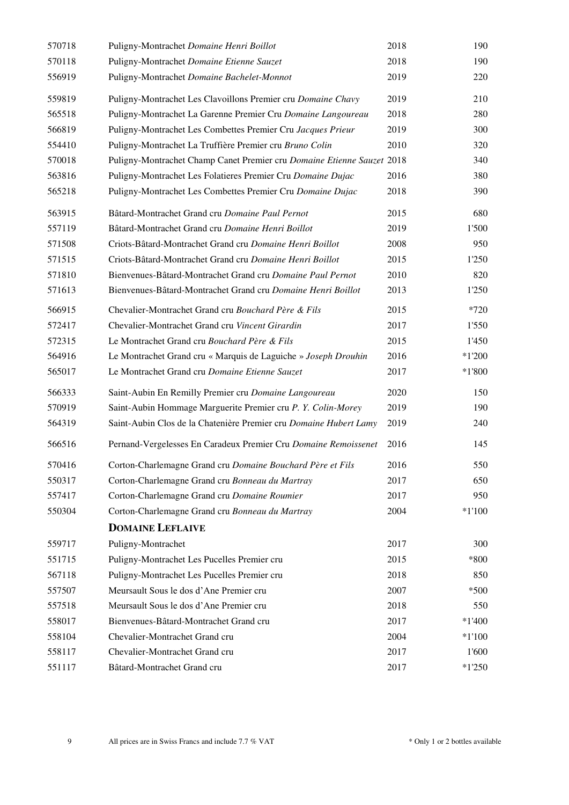| 570718 | Puligny-Montrachet Domaine Henri Boillot                               | 2018 | 190      |
|--------|------------------------------------------------------------------------|------|----------|
| 570118 | Puligny-Montrachet Domaine Etienne Sauzet                              | 2018 | 190      |
| 556919 | Puligny-Montrachet Domaine Bachelet-Monnot                             | 2019 | 220      |
| 559819 | Puligny-Montrachet Les Clavoillons Premier cru Domaine Chavy           | 2019 | 210      |
| 565518 | Puligny-Montrachet La Garenne Premier Cru Domaine Langoureau           | 2018 | 280      |
| 566819 | Puligny-Montrachet Les Combettes Premier Cru Jacques Prieur            | 2019 | 300      |
| 554410 | Puligny-Montrachet La Truffière Premier cru Bruno Colin                | 2010 | 320      |
| 570018 | Puligny-Montrachet Champ Canet Premier cru Domaine Etienne Sauzet 2018 |      | 340      |
| 563816 | Puligny-Montrachet Les Folatieres Premier Cru Domaine Dujac            | 2016 | 380      |
| 565218 | Puligny-Montrachet Les Combettes Premier Cru Domaine Dujac             | 2018 | 390      |
| 563915 | Bâtard-Montrachet Grand cru Domaine Paul Pernot                        | 2015 | 680      |
| 557119 | Bâtard-Montrachet Grand cru Domaine Henri Boillot                      | 2019 | 1'500    |
| 571508 | Criots-Bâtard-Montrachet Grand cru Domaine Henri Boillot               | 2008 | 950      |
| 571515 | Criots-Bâtard-Montrachet Grand cru Domaine Henri Boillot               | 2015 | 1'250    |
| 571810 | Bienvenues-Bâtard-Montrachet Grand cru Domaine Paul Pernot             | 2010 | 820      |
| 571613 | Bienvenues-Bâtard-Montrachet Grand cru Domaine Henri Boillot           | 2013 | 1'250    |
| 566915 | Chevalier-Montrachet Grand cru Bouchard Père & Fils                    | 2015 | $*720$   |
| 572417 | Chevalier-Montrachet Grand cru Vincent Girardin                        | 2017 | 1'550    |
| 572315 | Le Montrachet Grand cru Bouchard Père & Fils                           | 2015 | 1'450    |
| 564916 | Le Montrachet Grand cru « Marquis de Laguiche » Joseph Drouhin         | 2016 | $*1'200$ |
| 565017 | Le Montrachet Grand cru Domaine Etienne Sauzet                         | 2017 | $*1'800$ |
| 566333 | Saint-Aubin En Remilly Premier cru Domaine Langoureau                  | 2020 | 150      |
| 570919 | Saint-Aubin Hommage Marguerite Premier cru P. Y. Colin-Morey           | 2019 | 190      |
| 564319 | Saint-Aubin Clos de la Chatenière Premier cru Domaine Hubert Lamy      | 2019 | 240      |
| 566516 | Pernand-Vergelesses En Caradeux Premier Cru Domaine Remoissenet        | 2016 | 145      |
| 570416 | Corton-Charlemagne Grand cru Domaine Bouchard Père et Fils             | 2016 | 550      |
| 550317 | Corton-Charlemagne Grand cru Bonneau du Martray                        | 2017 | 650      |
| 557417 | Corton-Charlemagne Grand cru Domaine Roumier                           | 2017 | 950      |
| 550304 | Corton-Charlemagne Grand cru Bonneau du Martray                        | 2004 | $*1'100$ |
|        | <b>DOMAINE LEFLAIVE</b>                                                |      |          |
| 559717 | Puligny-Montrachet                                                     | 2017 | 300      |
| 551715 | Puligny-Montrachet Les Pucelles Premier cru                            | 2015 | *800     |
| 567118 | Puligny-Montrachet Les Pucelles Premier cru                            | 2018 | 850      |
| 557507 | Meursault Sous le dos d'Ane Premier cru                                | 2007 | $*500$   |
| 557518 | Meursault Sous le dos d'Ane Premier cru                                | 2018 | 550      |
| 558017 | Bienvenues-Bâtard-Montrachet Grand cru                                 | 2017 | $*1'400$ |
| 558104 | Chevalier-Montrachet Grand cru                                         | 2004 | $*1'100$ |
| 558117 | Chevalier-Montrachet Grand cru                                         | 2017 | 1'600    |
| 551117 | Bâtard-Montrachet Grand cru                                            | 2017 | $*1'250$ |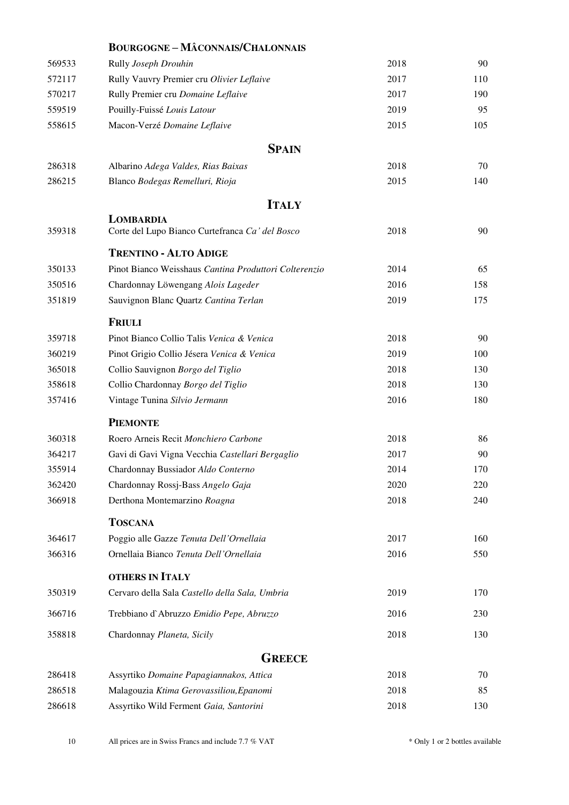<span id="page-9-1"></span>

|        | <b>BOURGOGNE-MÂCONNAIS/CHALONNAIS</b>                        |      |     |
|--------|--------------------------------------------------------------|------|-----|
| 569533 | Rully Joseph Drouhin                                         | 2018 | 90  |
| 572117 | Rully Vauvry Premier cru Olivier Leflaive                    | 2017 | 110 |
| 570217 | Rully Premier cru Domaine Leflaive                           | 2017 | 190 |
| 559519 | Pouilly-Fuissé Louis Latour                                  | 2019 | 95  |
| 558615 | Macon-Verzé Domaine Leflaive                                 | 2015 | 105 |
|        | <b>SPAIN</b>                                                 |      |     |
| 286318 | Albarino Adega Valdes, Rias Baixas                           | 2018 | 70  |
| 286215 | Blanco Bodegas Remelluri, Rioja                              | 2015 | 140 |
|        | <b>ITALY</b>                                                 |      |     |
| 359318 | LOMBARDIA<br>Corte del Lupo Bianco Curtefranca Ca' del Bosco | 2018 | 90  |
|        | <b>TRENTINO - ALTO ADIGE</b>                                 |      |     |
| 350133 | Pinot Bianco Weisshaus Cantina Produttori Colterenzio        | 2014 | 65  |
| 350516 | Chardonnay Löwengang Alois Lageder                           | 2016 | 158 |
| 351819 | Sauvignon Blanc Quartz Cantina Terlan                        | 2019 | 175 |
|        | <b>FRIULI</b>                                                |      |     |
| 359718 | Pinot Bianco Collio Talis Venica & Venica                    | 2018 | 90  |
| 360219 | Pinot Grigio Collio Jésera Venica & Venica                   | 2019 | 100 |
| 365018 | Collio Sauvignon Borgo del Tiglio                            | 2018 | 130 |
| 358618 | Collio Chardonnay Borgo del Tiglio                           | 2018 | 130 |
| 357416 | Vintage Tunina Silvio Jermann                                | 2016 | 180 |
|        | <b>PIEMONTE</b>                                              |      |     |
| 360318 | Roero Arneis Recit Monchiero Carbone                         | 2018 | 86  |
| 364217 | Gavi di Gavi Vigna Vecchia Castellari Bergaglio              | 2017 | 90  |
| 355914 | Chardonnay Bussiador Aldo Conterno                           | 2014 | 170 |
| 362420 | Chardonnay Rossj-Bass Angelo Gaja                            | 2020 | 220 |
| 366918 | Derthona Montemarzino Roagna                                 | 2018 | 240 |
|        | <b>TOSCANA</b>                                               |      |     |
| 364617 | Poggio alle Gazze Tenuta Dell'Ornellaia                      | 2017 | 160 |
| 366316 | Ornellaia Bianco Tenuta Dell'Ornellaia                       | 2016 | 550 |
|        | <b>OTHERS IN ITALY</b>                                       |      |     |
| 350319 | Cervaro della Sala Castello della Sala, Umbria               | 2019 | 170 |
| 366716 | Trebbiano d'Abruzzo Emidio Pepe, Abruzzo                     | 2016 | 230 |
| 358818 | Chardonnay Planeta, Sicily                                   | 2018 | 130 |
|        | <b>GREECE</b>                                                |      |     |
| 286418 | Assyrtiko Domaine Papagiannakos, Attica                      | 2018 | 70  |
| 286518 | Malagouzia Ktima Gerovassiliou, Epanomi                      | 2018 | 85  |
| 286618 | Assyrtiko Wild Ferment Gaia, Santorini                       | 2018 | 130 |
|        |                                                              |      |     |

<span id="page-9-2"></span><span id="page-9-0"></span>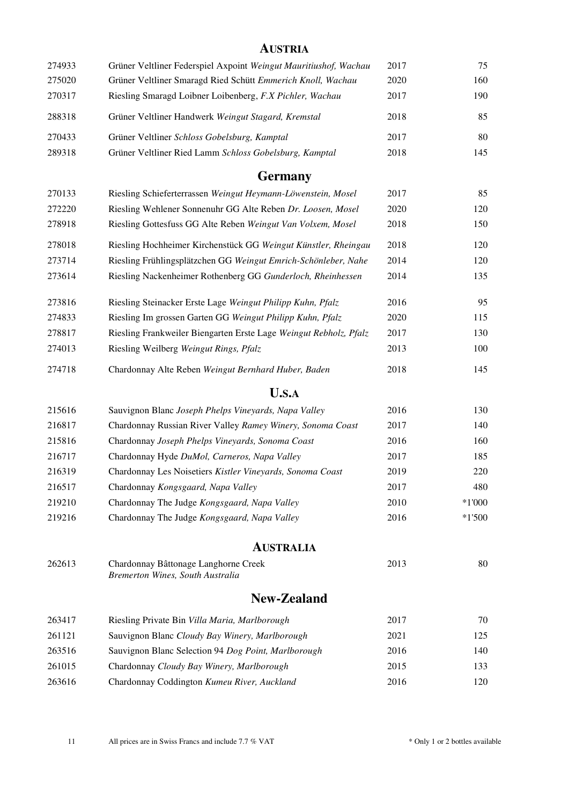<span id="page-10-4"></span><span id="page-10-3"></span><span id="page-10-2"></span><span id="page-10-1"></span><span id="page-10-0"></span>

|        | <b>AUSTRIA</b>                                                           |      |          |
|--------|--------------------------------------------------------------------------|------|----------|
| 274933 | Grüner Veltliner Federspiel Axpoint Weingut Mauritiushof, Wachau         | 2017 | 75       |
| 275020 | Grüner Veltliner Smaragd Ried Schütt Emmerich Knoll, Wachau              | 2020 | 160      |
| 270317 | Riesling Smaragd Loibner Loibenberg, F.X Pichler, Wachau                 | 2017 | 190      |
| 288318 | Grüner Veltliner Handwerk Weingut Stagard, Kremstal                      | 2018 | 85       |
| 270433 | Grüner Veltliner Schloss Gobelsburg, Kamptal                             | 2017 | 80       |
| 289318 | Grüner Veltliner Ried Lamm Schloss Gobelsburg, Kamptal                   | 2018 | 145      |
|        | <b>Germany</b>                                                           |      |          |
| 270133 | Riesling Schieferterrassen Weingut Heymann-Löwenstein, Mosel             | 2017 | 85       |
| 272220 | Riesling Wehlener Sonnenuhr GG Alte Reben Dr. Loosen, Mosel              | 2020 | 120      |
| 278918 | Riesling Gottesfuss GG Alte Reben Weingut Van Volxem, Mosel              | 2018 | 150      |
| 278018 | Riesling Hochheimer Kirchenstück GG Weingut Künstler, Rheingau           | 2018 | 120      |
| 273714 | Riesling Frühlingsplätzchen GG Weingut Emrich-Schönleber, Nahe           | 2014 | 120      |
| 273614 | Riesling Nackenheimer Rothenberg GG Gunderloch, Rheinhessen              | 2014 | 135      |
| 273816 | Riesling Steinacker Erste Lage Weingut Philipp Kuhn, Pfalz               | 2016 | 95       |
| 274833 | Riesling Im grossen Garten GG Weingut Philipp Kuhn, Pfalz                | 2020 | 115      |
| 278817 | Riesling Frankweiler Biengarten Erste Lage Weingut Rebholz, Pfalz        | 2017 | 130      |
| 274013 | Riesling Weilberg Weingut Rings, Pfalz                                   | 2013 | 100      |
| 274718 | Chardonnay Alte Reben Weingut Bernhard Huber, Baden                      | 2018 | 145      |
|        | <b>U.S.A</b>                                                             |      |          |
| 215616 | Sauvignon Blanc Joseph Phelps Vineyards, Napa Valley                     | 2016 | 130      |
| 216817 | Chardonnay Russian River Valley Ramey Winery, Sonoma Coast               | 2017 | 140      |
| 215816 | Chardonnay Joseph Phelps Vineyards, Sonoma Coast                         | 2016 | 160      |
| 216717 | Chardonnay Hyde DuMol, Carneros, Napa Valley                             | 2017 | 185      |
| 216319 | Chardonnay Les Noisetiers Kistler Vineyards, Sonoma Coast                | 2019 | 220      |
| 216517 | Chardonnay Kongsgaard, Napa Valley                                       | 2017 | 480      |
| 219210 | Chardonnay The Judge Kongsgaard, Napa Valley                             | 2010 | $*1'000$ |
| 219216 | Chardonnay The Judge Kongsgaard, Napa Valley                             | 2016 | $*1'500$ |
|        | <b>AUSTRALIA</b>                                                         |      |          |
| 262613 | Chardonnay Bâttonage Langhorne Creek<br>Bremerton Wines, South Australia | 2013 | 80       |
|        |                                                                          |      |          |
|        | <b>New-Zealand</b>                                                       |      |          |
| 263417 | Riesling Private Bin Villa Maria, Marlborough                            | 2017 | 70       |
| 261121 | Sauvignon Blanc Cloudy Bay Winery, Marlborough                           | 2021 | 125      |
| 263516 | Sauvignon Blanc Selection 94 Dog Point, Marlborough                      | 2016 | 140      |
| 261015 | Chardonnay Cloudy Bay Winery, Marlborough                                | 2015 | 133      |
| 263616 | Chardonnay Coddington Kumeu River, Auckland                              | 2016 | 120      |
|        |                                                                          |      |          |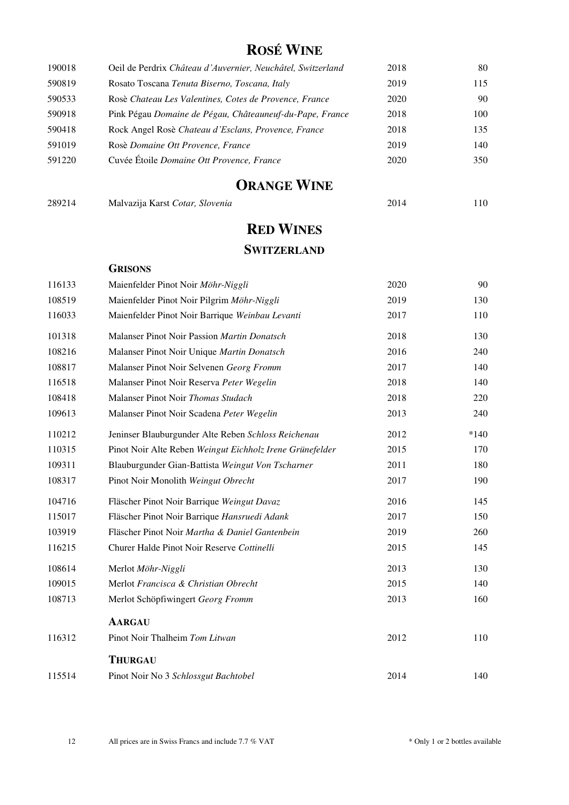## **ROSÉ WINE**

<span id="page-11-0"></span>

| 190018 | Oeil de Perdrix Château d'Auvernier, Neuchâtel, Switzerland | 2018 | 80  |
|--------|-------------------------------------------------------------|------|-----|
| 590819 | Rosato Toscana Tenuta Biserno, Toscana, Italy               | 2019 | 115 |
| 590533 | Rosè Chateau Les Valentines, Cotes de Provence, France      | 2020 | 90  |
| 590918 | Pink Pégau Domaine de Pégau, Châteauneuf-du-Pape, France    | 2018 | 100 |
| 590418 | Rock Angel Rosè Chateau d'Esclans, Provence, France         | 2018 | 135 |
| 591019 | Rosè Domaine Ott Provence, France                           | 2019 | 140 |
| 591220 | Cuvée Étoile Domaine Ott Provence, France                   | 2020 | 350 |

## **ORANGE WINE**

<span id="page-11-1"></span>

| 289214 | Malvazija Karst Cotar, Slovenia | 2014 | 110 |
|--------|---------------------------------|------|-----|
|        |                                 |      |     |

## **RED WINES**

## **SWITZERLAND**

<span id="page-11-2"></span>

|        | <b>GRISONS</b>                                           |      |        |
|--------|----------------------------------------------------------|------|--------|
| 116133 | Maienfelder Pinot Noir Möhr-Niggli                       | 2020 | 90     |
| 108519 | Maienfelder Pinot Noir Pilgrim Möhr-Niggli               | 2019 | 130    |
| 116033 | Maienfelder Pinot Noir Barrique Weinbau Levanti          | 2017 | 110    |
| 101318 | Malanser Pinot Noir Passion Martin Donatsch              | 2018 | 130    |
| 108216 | Malanser Pinot Noir Unique Martin Donatsch               | 2016 | 240    |
| 108817 | Malanser Pinot Noir Selvenen Georg Fromm                 | 2017 | 140    |
| 116518 | Malanser Pinot Noir Reserva Peter Wegelin                | 2018 | 140    |
| 108418 | Malanser Pinot Noir Thomas Studach                       | 2018 | 220    |
| 109613 | Malanser Pinot Noir Scadena Peter Wegelin                | 2013 | 240    |
| 110212 | Jeninser Blauburgunder Alte Reben Schloss Reichenau      | 2012 | $*140$ |
| 110315 | Pinot Noir Alte Reben Weingut Eichholz Irene Grünefelder | 2015 | 170    |
| 109311 | Blauburgunder Gian-Battista Weingut Von Tscharner        | 2011 | 180    |
| 108317 | Pinot Noir Monolith Weingut Obrecht                      | 2017 | 190    |
| 104716 | Fläscher Pinot Noir Barrique Weingut Davaz               | 2016 | 145    |
| 115017 | Fläscher Pinot Noir Barrique Hansruedi Adank             | 2017 | 150    |
| 103919 | Fläscher Pinot Noir Martha & Daniel Gantenbein           | 2019 | 260    |
| 116215 | Churer Halde Pinot Noir Reserve Cottinelli               | 2015 | 145    |
| 108614 | Merlot Möhr-Niggli                                       | 2013 | 130    |
| 109015 | Merlot Francisca & Christian Obrecht                     | 2015 | 140    |
| 108713 | Merlot Schöpfiwingert Georg Fromm                        | 2013 | 160    |
|        | <b>AARGAU</b>                                            |      |        |
| 116312 | Pinot Noir Thalheim Tom Litwan                           | 2012 | 110    |
|        | <b>THURGAU</b>                                           |      |        |
| 115514 | Pinot Noir No 3 Schlossgut Bachtobel                     | 2014 | 140    |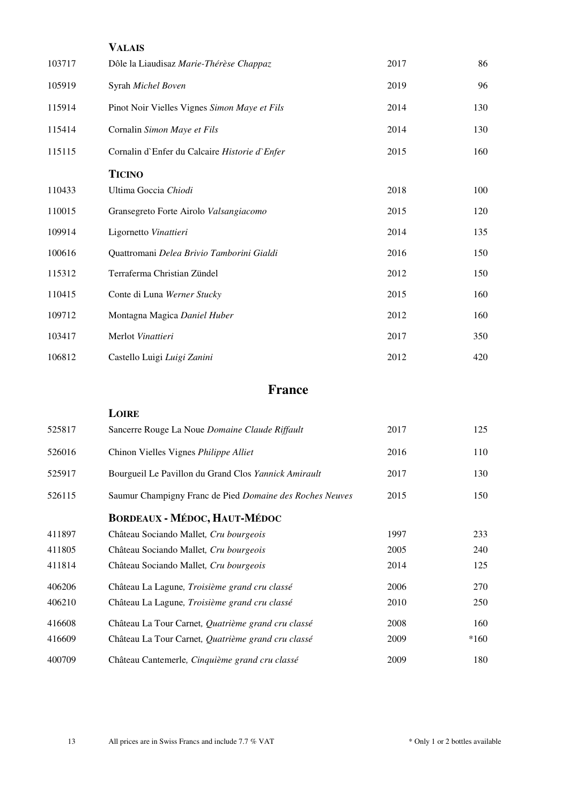|        | <b>VALAIS</b>                                 |      |     |
|--------|-----------------------------------------------|------|-----|
| 103717 | Dôle la Liaudisaz Marie-Thérèse Chappaz       | 2017 | 86  |
| 105919 | Syrah Michel Boven                            | 2019 | 96  |
| 115914 | Pinot Noir Vielles Vignes Simon Maye et Fils  | 2014 | 130 |
| 115414 | Cornalin Simon Maye et Fils                   | 2014 | 130 |
| 115115 | Cornalin d'Enfer du Calcaire Historie d'Enfer | 2015 | 160 |
|        | <b>TICINO</b>                                 |      |     |
| 110433 | Ultima Goccia Chiodi                          | 2018 | 100 |
| 110015 | Gransegreto Forte Airolo Valsangiacomo        | 2015 | 120 |
| 109914 | Ligornetto Vinattieri                         | 2014 | 135 |
| 100616 | Quattromani Delea Brivio Tamborini Gialdi     | 2016 | 150 |
| 115312 | Terraferma Christian Zündel                   | 2012 | 150 |
| 110415 | Conte di Luna Werner Stucky                   | 2015 | 160 |
| 109712 | Montagna Magica Daniel Huber                  | 2012 | 160 |
| 103417 | Merlot Vinattieri                             | 2017 | 350 |
| 106812 | Castello Luigi Luigi Zanini                   | 2012 | 420 |

## **France**

<span id="page-12-0"></span>

|        | LOIRE                                                    |      |        |
|--------|----------------------------------------------------------|------|--------|
| 525817 | Sancerre Rouge La Noue Domaine Claude Riffault           | 2017 | 125    |
| 526016 | Chinon Vielles Vignes Philippe Alliet                    | 2016 | 110    |
| 525917 | Bourgueil Le Pavillon du Grand Clos Yannick Amirault     | 2017 | 130    |
| 526115 | Saumur Champigny Franc de Pied Domaine des Roches Neuves | 2015 | 150    |
|        | <b>BORDEAUX - MÉDOC, HAUT-MÉDOC</b>                      |      |        |
| 411897 | Château Sociando Mallet, Cru bourgeois                   | 1997 | 233    |
| 411805 | Château Sociando Mallet, Cru bourgeois                   | 2005 | 240    |
| 411814 | Château Sociando Mallet, Cru bourgeois                   | 2014 | 125    |
| 406206 | Château La Lagune, Troisième grand cru classé            | 2006 | 270    |
| 406210 | Château La Lagune, Troisième grand cru classé            | 2010 | 250    |
| 416608 | Château La Tour Carnet, Quatrième grand cru classé       | 2008 | 160    |
| 416609 | Château La Tour Carnet, Quatrième grand cru classé       | 2009 | $*160$ |
| 400709 | Château Cantemerle, Cinquième grand cru classé           | 2009 | 180    |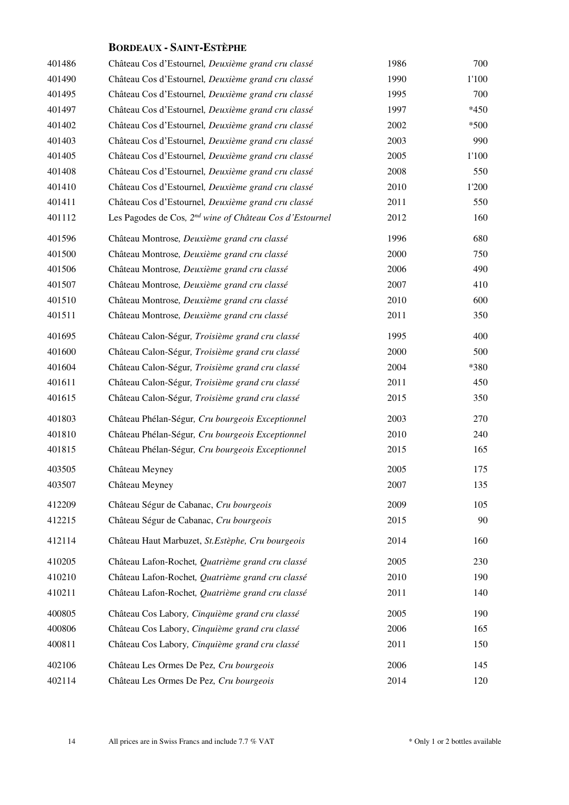### **BORDEAUX - SAINT-ESTÈPHE**

| 401486 | Château Cos d'Estournel, Deuxième grand cru classé                  | 1986 | 700    |
|--------|---------------------------------------------------------------------|------|--------|
| 401490 | Château Cos d'Estournel, Deuxième grand cru classé                  | 1990 | 1'100  |
| 401495 | Château Cos d'Estournel, Deuxième grand cru classé                  | 1995 | 700    |
| 401497 | Château Cos d'Estournel, Deuxième grand cru classé                  | 1997 | $*450$ |
| 401402 | Château Cos d'Estournel, Deuxième grand cru classé                  | 2002 | $*500$ |
| 401403 | Château Cos d'Estournel, Deuxième grand cru classé                  | 2003 | 990    |
| 401405 | Château Cos d'Estournel, Deuxième grand cru classé                  | 2005 | 1'100  |
| 401408 | Château Cos d'Estournel, Deuxième grand cru classé                  | 2008 | 550    |
| 401410 | Château Cos d'Estournel, Deuxième grand cru classé                  | 2010 | 1'200  |
| 401411 | Château Cos d'Estournel, Deuxième grand cru classé                  | 2011 | 550    |
| 401112 | Les Pagodes de Cos, 2 <sup>nd</sup> wine of Château Cos d'Estournel | 2012 | 160    |
| 401596 | Château Montrose, Deuxième grand cru classé                         | 1996 | 680    |
| 401500 | Château Montrose, Deuxième grand cru classé                         | 2000 | 750    |
| 401506 | Château Montrose, Deuxième grand cru classé                         | 2006 | 490    |
| 401507 | Château Montrose, Deuxième grand cru classé                         | 2007 | 410    |
| 401510 | Château Montrose, Deuxième grand cru classé                         | 2010 | 600    |
| 401511 | Château Montrose, Deuxième grand cru classé                         | 2011 | 350    |
| 401695 | Château Calon-Ségur, Troisième grand cru classé                     | 1995 | 400    |
| 401600 | Château Calon-Ségur, Troisième grand cru classé                     | 2000 | 500    |
| 401604 | Château Calon-Ségur, Troisième grand cru classé                     | 2004 | *380   |
| 401611 | Château Calon-Ségur, Troisième grand cru classé                     | 2011 | 450    |
| 401615 | Château Calon-Ségur, Troisième grand cru classé                     | 2015 | 350    |
| 401803 | Château Phélan-Ségur, Cru bourgeois Exceptionnel                    | 2003 | 270    |
| 401810 | Château Phélan-Ségur, Cru bourgeois Exceptionnel                    | 2010 | 240    |
| 401815 | Château Phélan-Ségur, Cru bourgeois Exceptionnel                    | 2015 | 165    |
| 403505 | Château Meyney                                                      | 2005 | 175    |
| 403507 | Château Meyney                                                      | 2007 | 135    |
| 412209 | Château Ségur de Cabanac, Cru bourgeois                             | 2009 | 105    |
| 412215 | Château Ségur de Cabanac, Cru bourgeois                             | 2015 | 90     |
| 412114 | Château Haut Marbuzet, St. Estèphe, Cru bourgeois                   | 2014 | 160    |
| 410205 | Château Lafon-Rochet, Quatrième grand cru classé                    | 2005 | 230    |
| 410210 | Château Lafon-Rochet, Quatrième grand cru classé                    | 2010 | 190    |
| 410211 | Château Lafon-Rochet, Quatrième grand cru classé                    | 2011 | 140    |
| 400805 | Château Cos Labory, Cinquième grand cru classé                      | 2005 | 190    |
| 400806 | Château Cos Labory, Cinquième grand cru classé                      | 2006 | 165    |
| 400811 | Château Cos Labory, Cinquième grand cru classé                      | 2011 | 150    |
| 402106 | Château Les Ormes De Pez, Cru bourgeois                             | 2006 | 145    |
| 402114 | Château Les Ormes De Pez, Cru bourgeois                             | 2014 | 120    |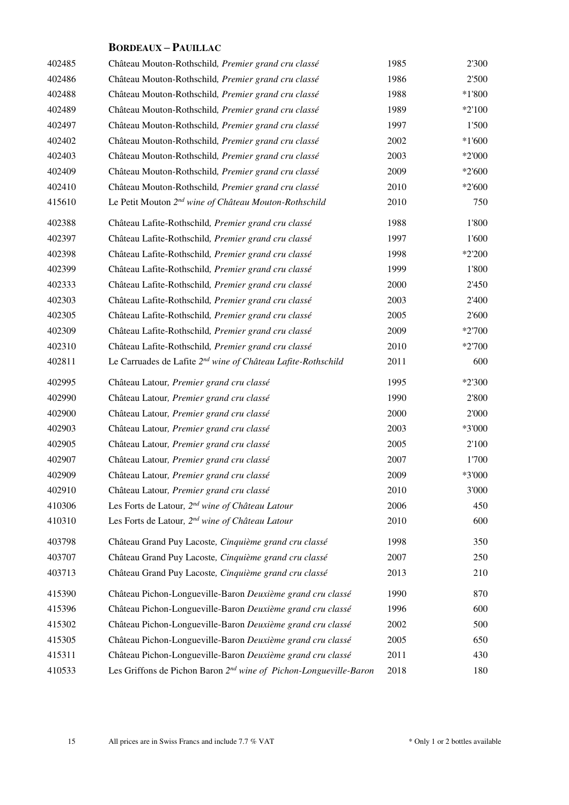### **BORDEAUX – PAUILLAC**

| 402485 | Château Mouton-Rothschild, Premier grand cru classé                           | 1985 | 2'300    |
|--------|-------------------------------------------------------------------------------|------|----------|
| 402486 | Château Mouton-Rothschild, Premier grand cru classé                           | 1986 | 2'500    |
| 402488 | Château Mouton-Rothschild, Premier grand cru classé                           | 1988 | $*1'800$ |
| 402489 | Château Mouton-Rothschild, Premier grand cru classé                           | 1989 | $*2'100$ |
| 402497 | Château Mouton-Rothschild, Premier grand cru classé                           | 1997 | 1'500    |
| 402402 | Château Mouton-Rothschild, Premier grand cru classé                           | 2002 | $*1'600$ |
| 402403 | Château Mouton-Rothschild, Premier grand cru classé                           | 2003 | $*2'000$ |
| 402409 | Château Mouton-Rothschild, Premier grand cru classé                           | 2009 | $*2'600$ |
| 402410 | Château Mouton-Rothschild, Premier grand cru classé                           | 2010 | $*2'600$ |
| 415610 | Le Petit Mouton 2 <sup>nd</sup> wine of Château Mouton-Rothschild             | 2010 | 750      |
| 402388 | Château Lafite-Rothschild, Premier grand cru classé                           | 1988 | 1'800    |
| 402397 | Château Lafite-Rothschild, Premier grand cru classé                           | 1997 | 1'600    |
| 402398 | Château Lafite-Rothschild, Premier grand cru classé                           | 1998 | $*2'200$ |
| 402399 | Château Lafite-Rothschild, Premier grand cru classé                           | 1999 | 1'800    |
| 402333 | Château Lafite-Rothschild, Premier grand cru classé                           | 2000 | 2'450    |
| 402303 | Château Lafite-Rothschild, Premier grand cru classé                           | 2003 | 2'400    |
| 402305 | Château Lafite-Rothschild, Premier grand cru classé                           | 2005 | 2'600    |
| 402309 | Château Lafite-Rothschild, Premier grand cru classé                           | 2009 | $*2700$  |
| 402310 | Château Lafite-Rothschild, Premier grand cru classé                           | 2010 | $*2700$  |
| 402811 | Le Carruades de Lafite 2 <sup>nd</sup> wine of Château Lafite-Rothschild      | 2011 | 600      |
| 402995 | Château Latour, Premier grand cru classé                                      | 1995 | $*2'300$ |
| 402990 | Château Latour, Premier grand cru classé                                      | 1990 | 2'800    |
| 402900 | Château Latour, Premier grand cru classé                                      | 2000 | 2'000    |
| 402903 | Château Latour, Premier grand cru classé                                      | 2003 | *3'000   |
| 402905 | Château Latour, Premier grand cru classé                                      | 2005 | 2'100    |
| 402907 | Château Latour, Premier grand cru classé                                      | 2007 | 1'700    |
| 402909 | Château Latour, Premier grand cru classé                                      | 2009 | *3'000   |
| 402910 | Château Latour, Premier grand cru classé                                      | 2010 | 3'000    |
| 410306 | Les Forts de Latour, 2 <sup>nd</sup> wine of Château Latour                   | 2006 | 450      |
| 410310 | Les Forts de Latour, 2 <sup>nd</sup> wine of Château Latour                   | 2010 | 600      |
| 403798 | Château Grand Puy Lacoste, Cinquième grand cru classé                         | 1998 | 350      |
| 403707 | Château Grand Puy Lacoste, Cinquième grand cru classé                         | 2007 | 250      |
| 403713 | Château Grand Puy Lacoste, Cinquième grand cru classé                         | 2013 | 210      |
| 415390 | Château Pichon-Longueville-Baron Deuxième grand cru classé                    | 1990 | 870      |
| 415396 | Château Pichon-Longueville-Baron Deuxième grand cru classé                    | 1996 | 600      |
| 415302 | Château Pichon-Longueville-Baron Deuxième grand cru classé                    | 2002 | 500      |
| 415305 | Château Pichon-Longueville-Baron Deuxième grand cru classé                    | 2005 | 650      |
| 415311 | Château Pichon-Longueville-Baron Deuxième grand cru classé                    | 2011 | 430      |
| 410533 | Les Griffons de Pichon Baron 2 <sup>nd</sup> wine of Pichon-Longueville-Baron | 2018 | 180      |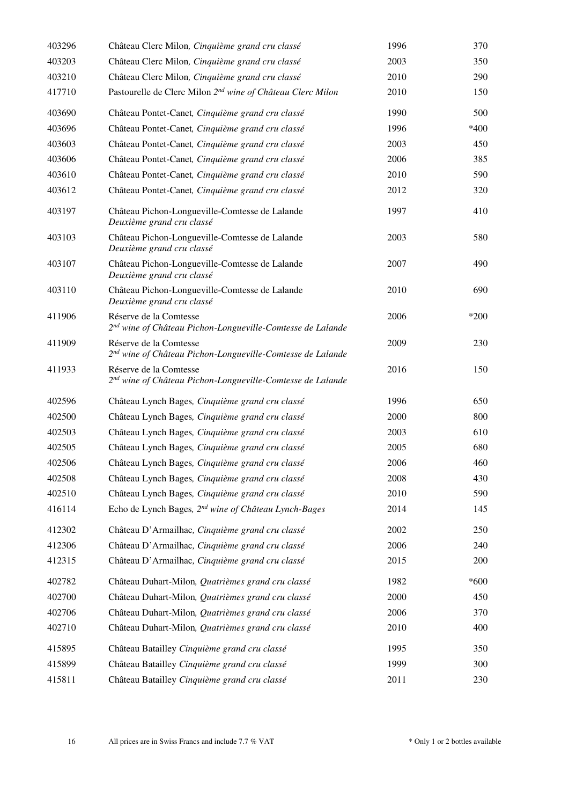| 403296 | Château Clerc Milon, Cinquième grand cru classé                                                  | 1996     | 370    |
|--------|--------------------------------------------------------------------------------------------------|----------|--------|
| 403203 | Château Clerc Milon, Cinquième grand cru classé                                                  | 2003     | 350    |
| 403210 | Château Clerc Milon, Cinquième grand cru classé                                                  | 2010     | 290    |
| 417710 | Pastourelle de Clerc Milon 2 <sup>nd</sup> wine of Château Clerc Milon                           | 2010     | 150    |
| 403690 | Château Pontet-Canet, Cinquième grand cru classé                                                 | 1990     | 500    |
| 403696 | Château Pontet-Canet, Cinquième grand cru classé                                                 | 1996     | *400   |
| 403603 | Château Pontet-Canet, Cinquième grand cru classé                                                 | 2003     | 450    |
| 403606 | Château Pontet-Canet, Cinquième grand cru classé                                                 | 2006     | 385    |
| 403610 | Château Pontet-Canet, Cinquième grand cru classé                                                 | 2010     | 590    |
| 403612 | Château Pontet-Canet, Cinquième grand cru classé                                                 | 2012     | 320    |
| 403197 | Château Pichon-Longueville-Comtesse de Lalande<br>Deuxième grand cru classé                      | 1997     | 410    |
| 403103 | Château Pichon-Longueville-Comtesse de Lalande<br>Deuxième grand cru classé                      | 2003     | 580    |
| 403107 | Château Pichon-Longueville-Comtesse de Lalande<br>Deuxième grand cru classé                      | 2007     | 490    |
| 403110 | Château Pichon-Longueville-Comtesse de Lalande<br>Deuxième grand cru classé                      | 2010     | 690    |
| 411906 | Réserve de la Comtesse<br>2 <sup>nd</sup> wine of Château Pichon-Longueville-Comtesse de Lalande | 2006     | *200   |
| 411909 | Réserve de la Comtesse<br>2 <sup>nd</sup> wine of Château Pichon-Longueville-Comtesse de Lalande | 2009     | 230    |
| 411933 | Réserve de la Comtesse<br>2 <sup>nd</sup> wine of Château Pichon-Longueville-Comtesse de Lalande | 2016     | 150    |
| 402596 | Château Lynch Bages, Cinquième grand cru classé                                                  | 1996     | 650    |
| 402500 | Château Lynch Bages, Cinquième grand cru classé                                                  | 2000     | 800    |
| 402503 | Château Lynch Bages, Cinquième grand cru classé                                                  | 2003     | 610    |
| 402505 | Château Lynch Bages, Cinquième grand cru classé                                                  | 2005     | 680    |
| 402506 | Château Lynch Bages, Cinquième grand cru classé                                                  | 2006     | 460    |
| 402508 | Château Lynch Bages, Cinquième grand cru classé                                                  | 2008     | 430    |
| 402510 | Château Lynch Bages, Cinquième grand cru classé                                                  | 2010     | 590    |
| 416114 | Echo de Lynch Bages, 2 <sup>nd</sup> wine of Château Lynch-Bages                                 | 2014     | 145    |
| 412302 | Château D'Armailhac, Cinquième grand cru classé                                                  | 2002     | 250    |
| 412306 | Château D'Armailhac, Cinquième grand cru classé                                                  | 2006     | 240    |
| 412315 | Château D'Armailhac, Cinquième grand cru classé                                                  | 2015     | 200    |
| 402782 | Château Duhart-Milon, Quatrièmes grand cru classé                                                | 1982     | $*600$ |
| 402700 | Château Duhart-Milon, Quatrièmes grand cru classé                                                | $2000\,$ | 450    |
| 402706 | Château Duhart-Milon, Quatrièmes grand cru classé                                                | 2006     | 370    |
| 402710 | Château Duhart-Milon, Quatrièmes grand cru classé                                                | 2010     | 400    |
| 415895 | Château Batailley Cinquième grand cru classé                                                     | 1995     | 350    |
| 415899 | Château Batailley Cinquième grand cru classé                                                     | 1999     | 300    |
| 415811 | Château Batailley Cinquième grand cru classé                                                     | 2011     | 230    |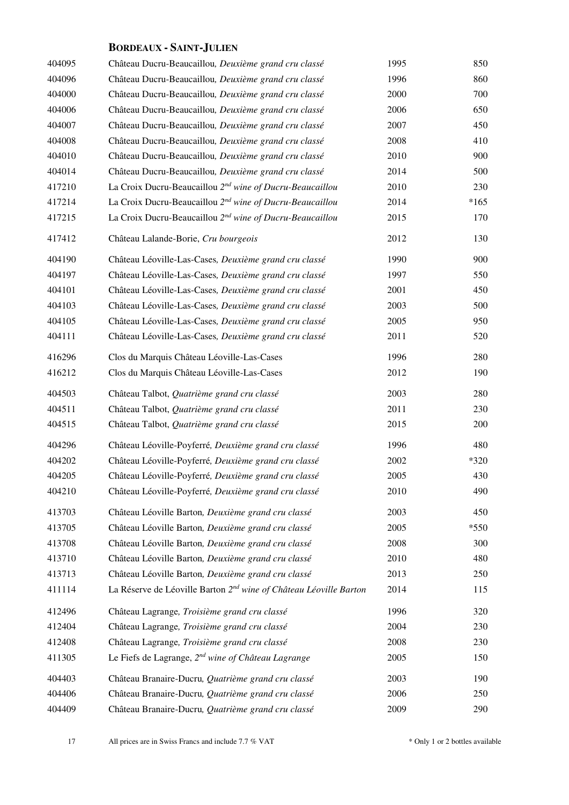### **BORDEAUX - SAINT-JULIEN**

| 404095 | Château Ducru-Beaucaillou, Deuxième grand cru classé                          | 1995 | 850    |
|--------|-------------------------------------------------------------------------------|------|--------|
| 404096 | Château Ducru-Beaucaillou, Deuxième grand cru classé                          | 1996 | 860    |
| 404000 | Château Ducru-Beaucaillou, Deuxième grand cru classé                          | 2000 | 700    |
| 404006 | Château Ducru-Beaucaillou, Deuxième grand cru classé                          | 2006 | 650    |
| 404007 | Château Ducru-Beaucaillou, Deuxième grand cru classé                          | 2007 | 450    |
| 404008 | Château Ducru-Beaucaillou, Deuxième grand cru classé                          | 2008 | 410    |
| 404010 | Château Ducru-Beaucaillou, Deuxième grand cru classé                          | 2010 | 900    |
| 404014 | Château Ducru-Beaucaillou, Deuxième grand cru classé                          | 2014 | 500    |
| 417210 | La Croix Ducru-Beaucaillou 2 <sup>nd</sup> wine of Ducru-Beaucaillou          | 2010 | 230    |
| 417214 | La Croix Ducru-Beaucaillou 2 <sup>nd</sup> wine of Ducru-Beaucaillou          | 2014 | $*165$ |
| 417215 | La Croix Ducru-Beaucaillou 2 <sup>nd</sup> wine of Ducru-Beaucaillou          | 2015 | 170    |
| 417412 | Château Lalande-Borie, Cru bourgeois                                          | 2012 | 130    |
| 404190 | Château Léoville-Las-Cases, Deuxième grand cru classé                         | 1990 | 900    |
| 404197 | Château Léoville-Las-Cases, Deuxième grand cru classé                         | 1997 | 550    |
| 404101 | Château Léoville-Las-Cases, Deuxième grand cru classé                         | 2001 | 450    |
| 404103 | Château Léoville-Las-Cases, Deuxième grand cru classé                         | 2003 | 500    |
| 404105 | Château Léoville-Las-Cases, Deuxième grand cru classé                         | 2005 | 950    |
| 404111 | Château Léoville-Las-Cases, Deuxième grand cru classé                         | 2011 | 520    |
| 416296 | Clos du Marquis Château Léoville-Las-Cases                                    | 1996 | 280    |
| 416212 | Clos du Marquis Château Léoville-Las-Cases                                    | 2012 | 190    |
| 404503 | Château Talbot, Quatrième grand cru classé                                    | 2003 | 280    |
| 404511 | Château Talbot, Quatrième grand cru classé                                    | 2011 | 230    |
| 404515 | Château Talbot, Quatrième grand cru classé                                    | 2015 | 200    |
| 404296 | Château Léoville-Poyferré, Deuxième grand cru classé                          | 1996 | 480    |
| 404202 | Château Léoville-Poyferré, Deuxième grand cru classé                          | 2002 | $*320$ |
| 404205 | Château Léoville-Poyferré, Deuxième grand cru classé                          | 2005 | 430    |
| 404210 | Château Léoville-Poyferré, Deuxième grand cru classé                          | 2010 | 490    |
| 413703 | Château Léoville Barton, Deuxième grand cru classé                            | 2003 | 450    |
| 413705 | Château Léoville Barton, Deuxième grand cru classé                            | 2005 | $*550$ |
| 413708 | Château Léoville Barton, Deuxième grand cru classé                            | 2008 | 300    |
| 413710 | Château Léoville Barton, Deuxième grand cru classé                            | 2010 | 480    |
| 413713 | Château Léoville Barton, Deuxième grand cru classé                            | 2013 | 250    |
| 411114 | La Réserve de Léoville Barton 2 <sup>nd</sup> wine of Château Léoville Barton | 2014 | 115    |
| 412496 | Château Lagrange, Troisième grand cru classé                                  | 1996 | 320    |
| 412404 | Château Lagrange, Troisième grand cru classé                                  | 2004 | 230    |
| 412408 | Château Lagrange, Troisième grand cru classé                                  | 2008 | 230    |
| 411305 | Le Fiefs de Lagrange, 2 <sup>nd</sup> wine of Château Lagrange                | 2005 | 150    |
| 404403 | Château Branaire-Ducru, Quatrième grand cru classé                            | 2003 | 190    |
| 404406 | Château Branaire-Ducru, Quatrième grand cru classé                            | 2006 | 250    |
| 404409 | Château Branaire-Ducru, Quatrième grand cru classé                            | 2009 | 290    |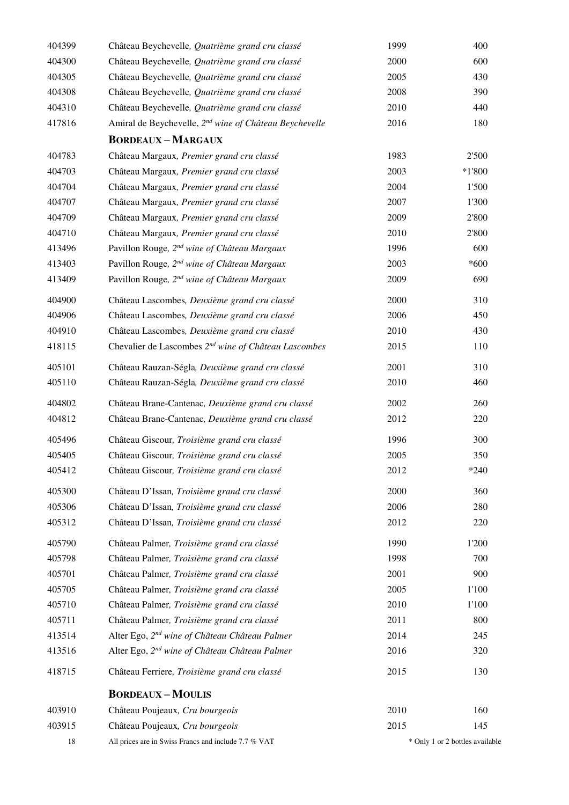| 404399 | Château Beychevelle, Quatrième grand cru classé                    | 1999 | 400                             |
|--------|--------------------------------------------------------------------|------|---------------------------------|
| 404300 | Château Beychevelle, Quatrième grand cru classé                    | 2000 | 600                             |
| 404305 | Château Beychevelle, Quatrième grand cru classé                    | 2005 | 430                             |
| 404308 | Château Beychevelle, Quatrième grand cru classé                    | 2008 | 390                             |
| 404310 | Château Beychevelle, Quatrième grand cru classé                    | 2010 | 440                             |
| 417816 | Amiral de Beychevelle, 2 <sup>nd</sup> wine of Château Beychevelle | 2016 | 180                             |
|        | <b>BORDEAUX-MARGAUX</b>                                            |      |                                 |
| 404783 | Château Margaux, Premier grand cru classé                          | 1983 | 2'500                           |
| 404703 | Château Margaux, Premier grand cru classé                          | 2003 | $*1'800$                        |
| 404704 | Château Margaux, Premier grand cru classé                          | 2004 | 1'500                           |
| 404707 | Château Margaux, Premier grand cru classé                          | 2007 | 1'300                           |
| 404709 | Château Margaux, Premier grand cru classé                          | 2009 | 2'800                           |
| 404710 | Château Margaux, Premier grand cru classé                          | 2010 | 2'800                           |
| 413496 | Pavillon Rouge, 2 <sup>nd</sup> wine of Château Margaux            | 1996 | 600                             |
| 413403 | Pavillon Rouge, 2 <sup>nd</sup> wine of Château Margaux            | 2003 | $*600$                          |
| 413409 | Pavillon Rouge, 2 <sup>nd</sup> wine of Château Margaux            | 2009 | 690                             |
| 404900 | Château Lascombes, Deuxième grand cru classé                       | 2000 | 310                             |
| 404906 | Château Lascombes, Deuxième grand cru classé                       | 2006 | 450                             |
| 404910 | Château Lascombes, Deuxième grand cru classé                       | 2010 | 430                             |
| 418115 | Chevalier de Lascombes 2 <sup>nd</sup> wine of Château Lascombes   | 2015 | 110                             |
| 405101 | Château Rauzan-Ségla, Deuxième grand cru classé                    | 2001 | 310                             |
| 405110 | Château Rauzan-Ségla, Deuxième grand cru classé                    | 2010 | 460                             |
| 404802 | Château Brane-Cantenac, Deuxième grand cru classé                  | 2002 | 260                             |
| 404812 | Château Brane-Cantenac, Deuxième grand cru classé                  | 2012 | 220                             |
| 405496 | Château Giscour, Troisième grand cru classé                        | 1996 | 300                             |
| 405405 | Château Giscour, Troisième grand cru classé                        | 2005 | 350                             |
| 405412 | Château Giscour, Troisième grand cru classé                        | 2012 | $*240$                          |
| 405300 | Château D'Issan, Troisième grand cru classé                        | 2000 | 360                             |
| 405306 | Château D'Issan, Troisième grand cru classé                        | 2006 | 280                             |
| 405312 | Château D'Issan, Troisième grand cru classé                        | 2012 | 220                             |
| 405790 | Château Palmer, Troisième grand cru classé                         | 1990 | 1'200                           |
| 405798 | Château Palmer, Troisième grand cru classé                         | 1998 | 700                             |
| 405701 | Château Palmer, Troisième grand cru classé                         | 2001 | 900                             |
| 405705 | Château Palmer, Troisième grand cru classé                         | 2005 | 1'100                           |
| 405710 | Château Palmer, Troisième grand cru classé                         | 2010 | 1'100                           |
| 405711 | Château Palmer, Troisième grand cru classé                         | 2011 | 800                             |
| 413514 | Alter Ego, 2 <sup>nd</sup> wine of Château Château Palmer          | 2014 | 245                             |
| 413516 | Alter Ego, 2 <sup>nd</sup> wine of Château Château Palmer          | 2016 | 320                             |
| 418715 | Château Ferriere, Troisième grand cru classé                       | 2015 | 130                             |
|        | <b>BORDEAUX-MOULIS</b>                                             |      |                                 |
| 403910 | Château Poujeaux, Cru bourgeois                                    | 2010 | 160                             |
| 403915 | Château Poujeaux, Cru bourgeois                                    | 2015 | 145                             |
| 18     | All prices are in Swiss Francs and include 7.7 % VAT               |      | * Only 1 or 2 bottles available |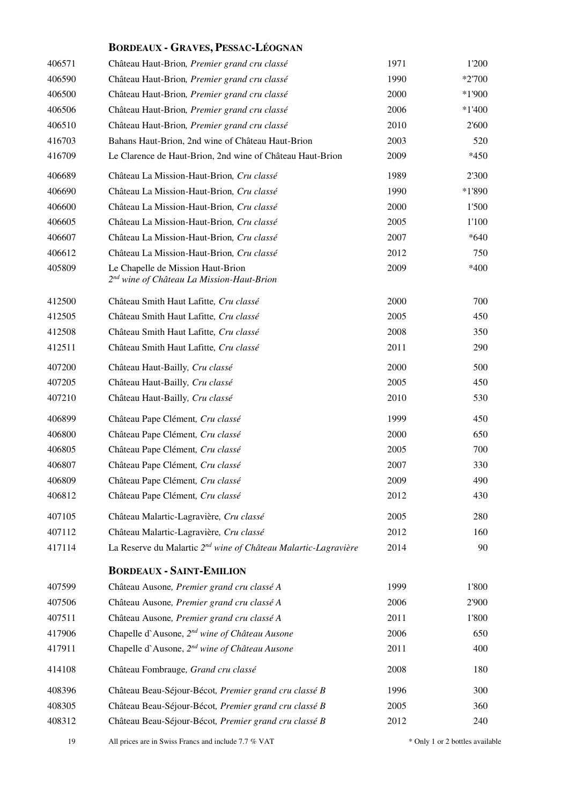### **BORDEAUX - GRAVES, PESSAC-LÉOGNAN**

| 406571 | Château Haut-Brion, Premier grand cru classé                                               | 1971 | 1'200    |
|--------|--------------------------------------------------------------------------------------------|------|----------|
| 406590 | Château Haut-Brion, Premier grand cru classé                                               | 1990 | $*2700$  |
| 406500 | Château Haut-Brion, Premier grand cru classé                                               | 2000 | $*1'900$ |
| 406506 | Château Haut-Brion, Premier grand cru classé                                               | 2006 | $*1'400$ |
| 406510 | Château Haut-Brion, Premier grand cru classé                                               | 2010 | 2'600    |
| 416703 | Bahans Haut-Brion, 2nd wine of Château Haut-Brion                                          | 2003 | 520      |
| 416709 | Le Clarence de Haut-Brion, 2nd wine of Château Haut-Brion                                  | 2009 | $*450$   |
| 406689 | Château La Mission-Haut-Brion, Cru classé                                                  | 1989 | 2'300    |
| 406690 | Château La Mission-Haut-Brion, Cru classé                                                  | 1990 | $*1'890$ |
| 406600 | Château La Mission-Haut-Brion, Cru classé                                                  | 2000 | 1'500    |
| 406605 | Château La Mission-Haut-Brion, Cru classé                                                  | 2005 | 1'100    |
| 406607 | Château La Mission-Haut-Brion, Cru classé                                                  | 2007 | $*640$   |
| 406612 | Château La Mission-Haut-Brion, Cru classé                                                  | 2012 | 750      |
| 405809 | Le Chapelle de Mission Haut-Brion<br>2 <sup>nd</sup> wine of Château La Mission-Haut-Brion | 2009 | $*400$   |
| 412500 | Château Smith Haut Lafitte, Cru classé                                                     | 2000 | 700      |
| 412505 | Château Smith Haut Lafitte, Cru classé                                                     | 2005 | 450      |
| 412508 | Château Smith Haut Lafitte, Cru classé                                                     | 2008 | 350      |
| 412511 | Château Smith Haut Lafitte, Cru classé                                                     | 2011 | 290      |
| 407200 | Château Haut-Bailly, Cru classé                                                            | 2000 | 500      |
| 407205 | Château Haut-Bailly, Cru classé                                                            | 2005 | 450      |
| 407210 | Château Haut-Bailly, Cru classé                                                            | 2010 | 530      |
| 406899 | Château Pape Clément, Cru classé                                                           | 1999 | 450      |
| 406800 | Château Pape Clément, Cru classé                                                           | 2000 | 650      |
| 406805 | Château Pape Clément, Cru classé                                                           | 2005 | 700      |
| 406807 | Château Pape Clément, Cru classé                                                           | 2007 | 330      |
| 406809 | Château Pape Clément, Cru classé                                                           | 2009 | 490      |
| 406812 | Château Pape Clément, Cru classé                                                           | 2012 | 430      |
| 407105 | Château Malartic-Lagravière, Cru classé                                                    | 2005 | 280      |
| 407112 | Château Malartic-Lagravière, Cru classé                                                    | 2012 | 160      |
| 417114 | La Reserve du Malartic 2 <sup>nd</sup> wine of Château Malartic-Lagravière                 | 2014 | 90       |
|        | <b>BORDEAUX - SAINT-EMILION</b>                                                            |      |          |
| 407599 | Château Ausone, Premier grand cru classé A                                                 | 1999 | 1'800    |
| 407506 | Château Ausone, Premier grand cru classé A                                                 | 2006 | 2'900    |
| 407511 | Château Ausone, Premier grand cru classé A                                                 | 2011 | 1'800    |
| 417906 | Chapelle d'Ausone, 2 <sup>nd</sup> wine of Château Ausone                                  | 2006 | 650      |
| 417911 | Chapelle d'Ausone, 2 <sup>nd</sup> wine of Château Ausone                                  | 2011 | 400      |
| 414108 | Château Fombrauge, Grand cru classé                                                        | 2008 | 180      |
| 408396 | Château Beau-Séjour-Bécot, Premier grand cru classé B                                      | 1996 | 300      |
| 408305 | Château Beau-Séjour-Bécot, Premier grand cru classé B                                      | 2005 | 360      |
| 408312 | Château Beau-Séjour-Bécot, Premier grand cru classé B                                      | 2012 | 240      |
|        |                                                                                            |      |          |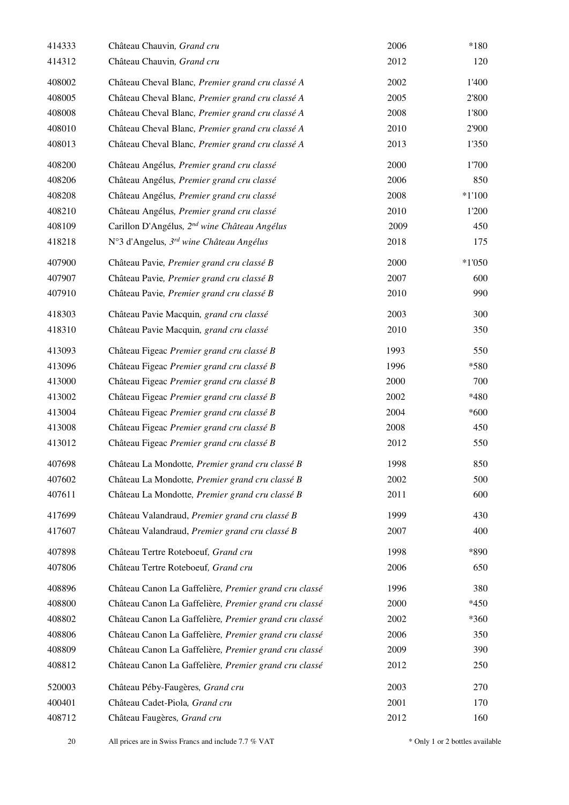| 414333 | Château Chauvin, Grand cru                               | 2006 | $*180$   |
|--------|----------------------------------------------------------|------|----------|
| 414312 | Château Chauvin, Grand cru                               | 2012 | 120      |
| 408002 | Château Cheval Blanc, Premier grand cru classé A         | 2002 | 1'400    |
| 408005 | Château Cheval Blanc, Premier grand cru classé A         | 2005 | 2'800    |
| 408008 | Château Cheval Blanc, Premier grand cru classé A         | 2008 | 1'800    |
| 408010 | Château Cheval Blanc, Premier grand cru classé A         | 2010 | 2'900    |
| 408013 | Château Cheval Blanc, Premier grand cru classé A         | 2013 | 1'350    |
| 408200 | Château Angélus, Premier grand cru classé                | 2000 | 1'700    |
| 408206 | Château Angélus, Premier grand cru classé                | 2006 | 850      |
| 408208 | Château Angélus, Premier grand cru classé                | 2008 | $*1'100$ |
| 408210 | Château Angélus, Premier grand cru classé                | 2010 | 1'200    |
| 408109 | Carillon D'Angélus, 2 <sup>nd</sup> wine Château Angélus | 2009 | 450      |
| 418218 | N°3 d'Angelus, 3 <sup>rd</sup> wine Château Angélus      | 2018 | 175      |
| 407900 | Château Pavie, Premier grand cru classé B                | 2000 | $*1'050$ |
| 407907 | Château Pavie, Premier grand cru classé B                | 2007 | 600      |
| 407910 | Château Pavie, Premier grand cru classé B                | 2010 | 990      |
| 418303 | Château Pavie Macquin, grand cru classé                  | 2003 | 300      |
| 418310 | Château Pavie Macquin, grand cru classé                  | 2010 | 350      |
| 413093 | Château Figeac Premier grand cru classé B                | 1993 | 550      |
| 413096 | Château Figeac Premier grand cru classé B                | 1996 | *580     |
| 413000 | Château Figeac Premier grand cru classé B                | 2000 | 700      |
| 413002 | Château Figeac Premier grand cru classé B                | 2002 | *480     |
| 413004 | Château Figeac Premier grand cru classé B                | 2004 | $*600$   |
| 413008 | Château Figeac Premier grand cru classé B                | 2008 | 450      |
| 413012 | Château Figeac Premier grand cru classé B                | 2012 | 550      |
| 407698 | Château La Mondotte, Premier grand cru classé B          | 1998 | 850      |
| 407602 | Château La Mondotte, Premier grand cru classé B          | 2002 | 500      |
| 407611 | Château La Mondotte, Premier grand cru classé B          | 2011 | 600      |
| 417699 | Château Valandraud, Premier grand cru classé B           | 1999 | 430      |
| 417607 | Château Valandraud, Premier grand cru classé B           | 2007 | 400      |
| 407898 | Château Tertre Roteboeuf, Grand cru                      | 1998 | *890     |
| 407806 | Château Tertre Roteboeuf, Grand cru                      | 2006 | 650      |
| 408896 | Château Canon La Gaffelière, Premier grand cru classé    | 1996 | 380      |
| 408800 | Château Canon La Gaffelière, Premier grand cru classé    | 2000 | $*450$   |
| 408802 | Château Canon La Gaffelière, Premier grand cru classé    | 2002 | *360     |
| 408806 | Château Canon La Gaffelière, Premier grand cru classé    | 2006 | 350      |
| 408809 | Château Canon La Gaffelière, Premier grand cru classé    | 2009 | 390      |
| 408812 | Château Canon La Gaffelière, Premier grand cru classé    | 2012 | 250      |
| 520003 | Château Péby-Faugères, Grand cru                         | 2003 | 270      |
| 400401 | Château Cadet-Piola, Grand cru                           | 2001 | 170      |
| 408712 | Château Faugères, Grand cru                              | 2012 | 160      |
|        |                                                          |      |          |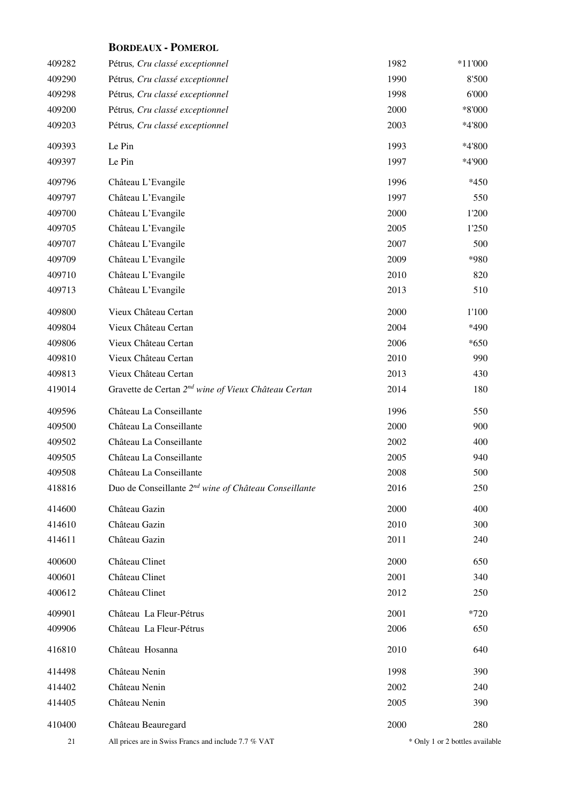| 409282 | Pétrus, Cru classé exceptionnel                                  | 1982 | $*11'000$                       |
|--------|------------------------------------------------------------------|------|---------------------------------|
| 409290 | Pétrus, Cru classé exceptionnel                                  | 1990 | 8'500                           |
| 409298 | Pétrus, Cru classé exceptionnel                                  | 1998 | 6'000                           |
| 409200 | Pétrus, Cru classé exceptionnel                                  | 2000 | *8'000                          |
| 409203 | Pétrus, Cru classé exceptionnel                                  | 2003 | *4'800                          |
| 409393 | Le Pin                                                           | 1993 | *4'800                          |
| 409397 | Le Pin                                                           | 1997 | *4'900                          |
| 409796 | Château L'Evangile                                               | 1996 | $*450$                          |
| 409797 | Château L'Evangile                                               | 1997 | 550                             |
| 409700 | Château L'Evangile                                               | 2000 | 1'200                           |
| 409705 | Château L'Evangile                                               | 2005 | 1'250                           |
| 409707 | Château L'Evangile                                               | 2007 | 500                             |
| 409709 | Château L'Evangile                                               | 2009 | *980                            |
| 409710 | Château L'Evangile                                               | 2010 | 820                             |
| 409713 | Château L'Evangile                                               | 2013 | 510                             |
| 409800 | Vieux Château Certan                                             | 2000 | 1'100                           |
| 409804 | Vieux Château Certan                                             | 2004 | *490                            |
| 409806 | Vieux Château Certan                                             | 2006 | $*650$                          |
| 409810 | Vieux Château Certan                                             | 2010 | 990                             |
| 409813 | Vieux Château Certan                                             | 2013 | 430                             |
| 419014 | Gravette de Certan 2 <sup>nd</sup> wine of Vieux Château Certan  | 2014 | 180                             |
| 409596 | Château La Conseillante                                          | 1996 | 550                             |
| 409500 | Château La Conseillante                                          | 2000 | 900                             |
| 409502 | Château La Conseillante                                          | 2002 | 400                             |
| 409505 | Château La Conseillante                                          | 2005 | 940                             |
| 409508 | Château La Conseillante                                          | 2008 | 500                             |
| 418816 | Duo de Conseillante 2 <sup>nd</sup> wine of Château Conseillante | 2016 | 250                             |
| 414600 | Château Gazin                                                    | 2000 | 400                             |
| 414610 | Château Gazin                                                    | 2010 | 300                             |
| 414611 | Château Gazin                                                    | 2011 | 240                             |
| 400600 | Château Clinet                                                   | 2000 | 650                             |
| 400601 | Château Clinet                                                   | 2001 | 340                             |
| 400612 | Château Clinet                                                   | 2012 | 250                             |
| 409901 | Château La Fleur-Pétrus                                          | 2001 | $*720$                          |
| 409906 | Château La Fleur-Pétrus                                          | 2006 | 650                             |
| 416810 | Château Hosanna                                                  | 2010 | 640                             |
| 414498 | Château Nenin                                                    | 1998 | 390                             |
| 414402 | Château Nenin                                                    | 2002 | 240                             |
| 414405 | Château Nenin                                                    | 2005 | 390                             |
| 410400 | Château Beauregard                                               | 2000 | 280                             |
| 21     | All prices are in Swiss Francs and include 7.7 % VAT             |      | * Only 1 or 2 bottles available |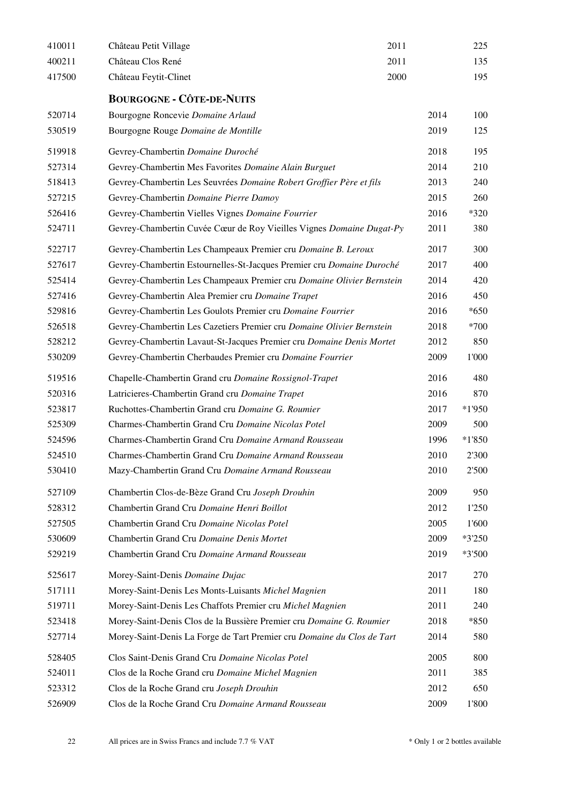| 410011 | Château Petit Village<br>2011                                          |      | 225      |
|--------|------------------------------------------------------------------------|------|----------|
| 400211 | Château Clos René<br>2011                                              |      | 135      |
| 417500 | Château Feytit-Clinet<br>2000                                          |      | 195      |
|        | <b>BOURGOGNE - CÔTE-DE-NUITS</b>                                       |      |          |
| 520714 | Bourgogne Roncevie Domaine Arlaud                                      | 2014 | 100      |
| 530519 | Bourgogne Rouge Domaine de Montille                                    | 2019 | 125      |
| 519918 | Gevrey-Chambertin Domaine Duroché                                      | 2018 | 195      |
| 527314 | Gevrey-Chambertin Mes Favorites Domaine Alain Burguet                  | 2014 | 210      |
| 518413 | Gevrey-Chambertin Les Seuvrées Domaine Robert Groffier Père et fils    | 2013 | 240      |
| 527215 | Gevrey-Chambertin Domaine Pierre Damoy                                 | 2015 | 260      |
| 526416 | Gevrey-Chambertin Vielles Vignes Domaine Fourrier                      | 2016 | *320     |
| 524711 | Gevrey-Chambertin Cuvée Cœur de Roy Vieilles Vignes Domaine Dugat-Py   | 2011 | 380      |
| 522717 | Gevrey-Chambertin Les Champeaux Premier cru Domaine B. Leroux          | 2017 | 300      |
| 527617 | Gevrey-Chambertin Estournelles-St-Jacques Premier cru Domaine Duroché  | 2017 | 400      |
| 525414 | Gevrey-Chambertin Les Champeaux Premier cru Domaine Olivier Bernstein  | 2014 | 420      |
| 527416 | Gevrey-Chambertin Alea Premier cru Domaine Trapet                      | 2016 | 450      |
| 529816 | Gevrey-Chambertin Les Goulots Premier cru Domaine Fourrier             | 2016 | $*650$   |
| 526518 | Gevrey-Chambertin Les Cazetiers Premier cru Domaine Olivier Bernstein  | 2018 | *700     |
| 528212 | Gevrey-Chambertin Lavaut-St-Jacques Premier cru Domaine Denis Mortet   | 2012 | 850      |
| 530209 | Gevrey-Chambertin Cherbaudes Premier cru Domaine Fourrier              | 2009 | 1'000    |
| 519516 | Chapelle-Chambertin Grand cru Domaine Rossignol-Trapet                 | 2016 | 480      |
| 520316 | Latricieres-Chambertin Grand cru Domaine Trapet                        | 2016 | 870      |
| 523817 | Ruchottes-Chambertin Grand cru Domaine G. Roumier                      | 2017 | *1'950   |
| 525309 | Charmes-Chambertin Grand Cru Domaine Nicolas Potel                     | 2009 | 500      |
| 524596 | Charmes-Chambertin Grand Cru Domaine Armand Rousseau                   | 1996 | $*1'850$ |
| 524510 | Charmes-Chambertin Grand Cru Domaine Armand Rousseau                   | 2010 | 2'300    |
| 530410 | Mazy-Chambertin Grand Cru Domaine Armand Rousseau                      | 2010 | 2'500    |
| 527109 | Chambertin Clos-de-Bèze Grand Cru Joseph Drouhin                       | 2009 | 950      |
| 528312 | Chambertin Grand Cru Domaine Henri Boillot                             | 2012 | 1'250    |
| 527505 | Chambertin Grand Cru Domaine Nicolas Potel                             | 2005 | 1'600    |
| 530609 | Chambertin Grand Cru Domaine Denis Mortet                              | 2009 | *3'250   |
| 529219 | Chambertin Grand Cru Domaine Armand Rousseau                           | 2019 | *3'500   |
| 525617 | Morey-Saint-Denis Domaine Dujac                                        | 2017 | 270      |
| 517111 | Morey-Saint-Denis Les Monts-Luisants Michel Magnien                    | 2011 | 180      |
| 519711 | Morey-Saint-Denis Les Chaffots Premier cru Michel Magnien              | 2011 | 240      |
| 523418 | Morey-Saint-Denis Clos de la Bussière Premier cru Domaine G. Roumier   | 2018 | $*850$   |
| 527714 | Morey-Saint-Denis La Forge de Tart Premier cru Domaine du Clos de Tart | 2014 | 580      |
| 528405 | Clos Saint-Denis Grand Cru Domaine Nicolas Potel                       | 2005 | 800      |
| 524011 | Clos de la Roche Grand cru Domaine Michel Magnien                      | 2011 | 385      |
| 523312 | Clos de la Roche Grand cru Joseph Drouhin                              | 2012 | 650      |
| 526909 | Clos de la Roche Grand Cru Domaine Armand Rousseau                     | 2009 | 1'800    |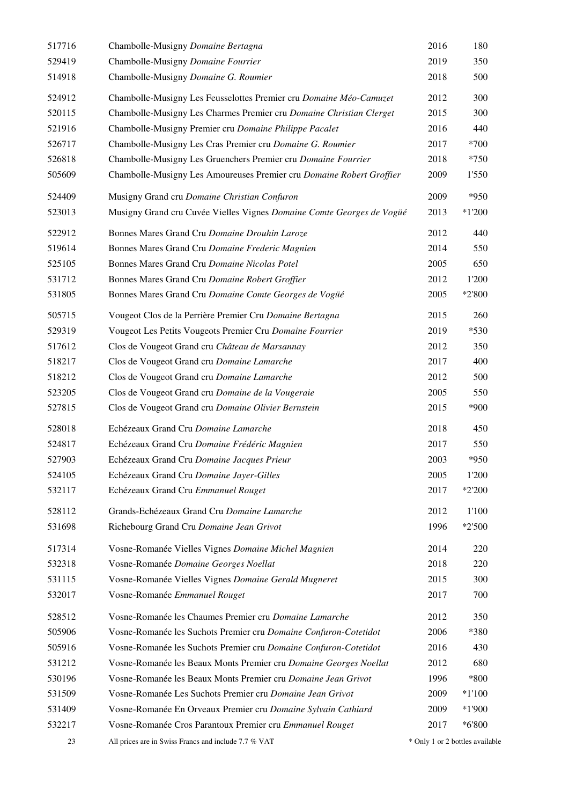| 517716 | Chambolle-Musigny Domaine Bertagna                                    | 2016                            | 180      |
|--------|-----------------------------------------------------------------------|---------------------------------|----------|
| 529419 | Chambolle-Musigny Domaine Fourrier                                    | 2019                            | 350      |
| 514918 | Chambolle-Musigny Domaine G. Roumier                                  | 2018                            | 500      |
| 524912 | Chambolle-Musigny Les Feusselottes Premier cru Domaine Méo-Camuzet    | 2012                            | 300      |
| 520115 | Chambolle-Musigny Les Charmes Premier cru Domaine Christian Clerget   | 2015                            | 300      |
| 521916 | Chambolle-Musigny Premier cru Domaine Philippe Pacalet                | 2016                            | 440      |
| 526717 | Chambolle-Musigny Les Cras Premier cru Domaine G. Roumier             | 2017                            | $*700$   |
| 526818 | Chambolle-Musigny Les Gruenchers Premier cru Domaine Fourrier         | 2018                            | $*750$   |
| 505609 | Chambolle-Musigny Les Amoureuses Premier cru Domaine Robert Groffier  | 2009                            | 1'550    |
| 524409 | Musigny Grand cru Domaine Christian Confuron                          | 2009                            | $*950$   |
| 523013 | Musigny Grand cru Cuvée Vielles Vignes Domaine Comte Georges de Vogüé | 2013                            | $*1'200$ |
| 522912 | Bonnes Mares Grand Cru Domaine Drouhin Laroze                         | 2012                            | 440      |
| 519614 | Bonnes Mares Grand Cru Domaine Frederic Magnien                       | 2014                            | 550      |
| 525105 | Bonnes Mares Grand Cru Domaine Nicolas Potel                          | 2005                            | 650      |
| 531712 | Bonnes Mares Grand Cru Domaine Robert Groffier                        | 2012                            | 1'200    |
| 531805 | Bonnes Mares Grand Cru Domaine Comte Georges de Vogüé                 | 2005                            | $*2'800$ |
| 505715 | Vougeot Clos de la Perrière Premier Cru Domaine Bertagna              | 2015                            | 260      |
| 529319 | Vougeot Les Petits Vougeots Premier Cru Domaine Fourrier              | 2019                            | $*530$   |
| 517612 | Clos de Vougeot Grand cru Château de Marsannay                        | 2012                            | 350      |
| 518217 | Clos de Vougeot Grand cru Domaine Lamarche                            | 2017                            | 400      |
| 518212 | Clos de Vougeot Grand cru Domaine Lamarche                            | 2012                            | 500      |
| 523205 | Clos de Vougeot Grand cru Domaine de la Vougeraie                     | 2005                            | 550      |
| 527815 | Clos de Vougeot Grand cru Domaine Olivier Bernstein                   | 2015                            | *900     |
| 528018 | Echézeaux Grand Cru Domaine Lamarche                                  | 2018                            | 450      |
| 524817 | Echézeaux Grand Cru Domaine Frédéric Magnien                          | 2017                            | 550      |
| 527903 | Echézeaux Grand Cru Domaine Jacques Prieur                            | 2003                            | *950     |
| 524105 | Echézeaux Grand Cru Domaine Jayer-Gilles                              | 2005                            | 1'200    |
| 532117 | Echézeaux Grand Cru Emmanuel Rouget                                   | 2017                            | $*2'200$ |
| 528112 | Grands-Echézeaux Grand Cru Domaine Lamarche                           | 2012                            | 1'100    |
| 531698 | Richebourg Grand Cru Domaine Jean Grivot                              | 1996                            | $*2'500$ |
| 517314 | Vosne-Romanée Vielles Vignes Domaine Michel Magnien                   | 2014                            | 220      |
| 532318 | Vosne-Romanée Domaine Georges Noellat                                 | 2018                            | 220      |
| 531115 | Vosne-Romanée Vielles Vignes Domaine Gerald Mugneret                  | 2015                            | 300      |
| 532017 | Vosne-Romanée Emmanuel Rouget                                         | 2017                            | 700      |
| 528512 | Vosne-Romanée les Chaumes Premier cru Domaine Lamarche                | 2012                            | 350      |
| 505906 | Vosne-Romanée les Suchots Premier cru Domaine Confuron-Cotetidot      | 2006                            | *380     |
| 505916 | Vosne-Romanée les Suchots Premier cru Domaine Confuron-Cotetidot      | 2016                            | 430      |
| 531212 | Vosne-Romanée les Beaux Monts Premier cru Domaine Georges Noellat     | 2012                            | 680      |
| 530196 | Vosne-Romanée les Beaux Monts Premier cru Domaine Jean Grivot         | 1996                            | $*800$   |
| 531509 | Vosne-Romanée Les Suchots Premier cru Domaine Jean Grivot             | 2009                            | $*1'100$ |
| 531409 | Vosne-Romanée En Orveaux Premier cru Domaine Sylvain Cathiard         | 2009                            | $*1'900$ |
| 532217 | Vosne-Romanée Cros Parantoux Premier cru Emmanuel Rouget              | 2017                            | *6'800   |
| 23     | All prices are in Swiss Francs and include 7.7 % VAT                  | * Only 1 or 2 bottles available |          |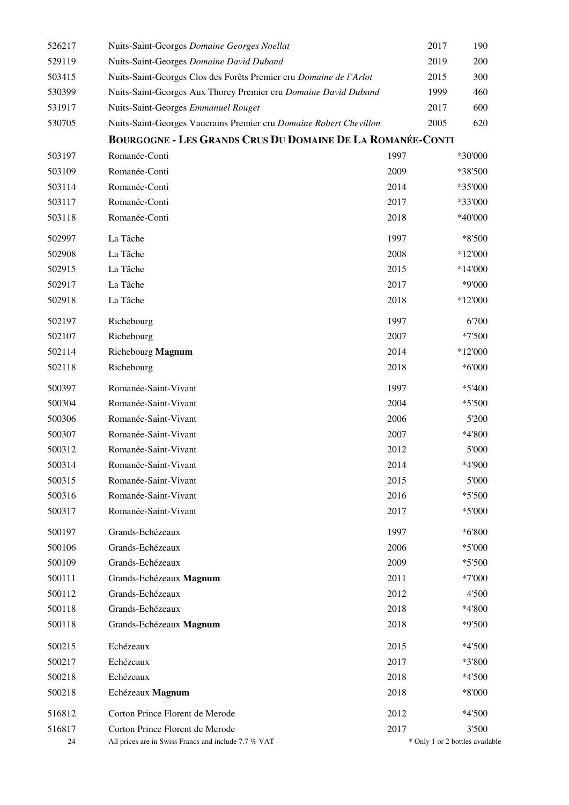| 526217 | Nuits-Saint-Georges Domaine Georges Noellat                        |      | 2017 | 190                             |  |
|--------|--------------------------------------------------------------------|------|------|---------------------------------|--|
| 529119 | Nuits-Saint-Georges Domaine David Duband                           |      | 2019 | 200                             |  |
| 503415 | Nuits-Saint-Georges Clos des Forêts Premier cru Domaine de l'Arlot |      | 2015 | 300                             |  |
| 530399 | Nuits-Saint-Georges Aux Thorey Premier cru Domaine David Duband    |      | 1999 | 460                             |  |
| 531917 | Nuits-Saint-Georges Emmanuel Rouget                                |      | 2017 | 600                             |  |
| 530705 | Nuits-Saint-Georges Vaucrains Premier cru Domaine Robert Chevillon |      | 2005 | 620                             |  |
|        | <b>BOURGOGNE - LES GRANDS CRUS DU DOMAINE DE LA ROMANÉE-CONTI</b>  |      |      |                                 |  |
| 503197 | Romanée-Conti                                                      | 1997 |      | *30'000                         |  |
| 503109 | Romanée-Conti                                                      | 2009 |      | *38'500                         |  |
| 503114 | Romanée-Conti                                                      | 2014 |      | *35'000                         |  |
| 503117 | Romanée-Conti                                                      | 2017 |      | *33'000                         |  |
| 503118 | Romanée-Conti                                                      | 2018 |      | *40'000                         |  |
| 502997 | La Tâche                                                           | 1997 |      | *8'500                          |  |
| 502908 | La Tâche                                                           | 2008 |      | *12'000                         |  |
| 502915 | La Tâche                                                           | 2015 |      | *14'000                         |  |
| 502917 | La Tâche                                                           | 2017 |      | *9'000                          |  |
| 502918 | La Tâche                                                           | 2018 |      | *12'000                         |  |
| 502197 | Richebourg                                                         | 1997 |      | 6'700                           |  |
| 502107 | Richebourg                                                         | 2007 |      | $*7500$                         |  |
| 502114 | Richebourg Magnum                                                  | 2014 |      | *12'000                         |  |
| 502118 | Richebourg                                                         | 2018 |      | *6'000                          |  |
| 500397 | Romanée-Saint-Vivant                                               | 1997 |      | $*5'400$                        |  |
| 500304 | Romanée-Saint-Vivant                                               | 2004 |      | $*5'500$                        |  |
| 500306 | Romanée-Saint-Vivant                                               | 2006 |      | 5'200                           |  |
| 500307 | Romanée-Saint-Vivant                                               | 2007 |      | *4'800                          |  |
| 500312 | Romanée-Saint-Vivant                                               | 2012 |      | 5'000                           |  |
| 500314 | Romanée-Saint-Vivant                                               | 2014 |      | *4'900                          |  |
| 500315 | Romanée-Saint-Vivant                                               | 2015 |      | 5'000                           |  |
| 500316 | Romanée-Saint-Vivant                                               | 2016 |      | $*5'500$                        |  |
| 500317 | Romanée-Saint-Vivant                                               | 2017 |      | $*5'000$                        |  |
| 500197 | Grands-Echézeaux                                                   | 1997 |      | *6'800                          |  |
| 500106 | Grands-Echézeaux                                                   | 2006 |      | $*5'000$                        |  |
| 500109 | Grands-Echézeaux                                                   | 2009 |      | $*5'500$                        |  |
| 500111 | Grands-Echézeaux Magnum                                            | 2011 |      | *7'000                          |  |
| 500112 | Grands-Echézeaux                                                   | 2012 |      | 4'500                           |  |
| 500118 | Grands-Echézeaux                                                   | 2018 |      | *4'800                          |  |
| 500118 | Grands-Echézeaux Magnum                                            | 2018 |      | *9'500                          |  |
| 500215 | Echézeaux                                                          | 2015 |      | $*4'500$                        |  |
| 500217 | Echézeaux                                                          | 2017 |      | *3'800                          |  |
| 500218 | Echézeaux                                                          | 2018 |      | $*4'500$                        |  |
| 500218 | Echézeaux Magnum                                                   | 2018 |      | *8'000                          |  |
| 516812 | Corton Prince Florent de Merode                                    | 2012 |      | $*4'500$                        |  |
| 516817 | Corton Prince Florent de Merode                                    | 2017 |      | 3'500                           |  |
| 24     | All prices are in Swiss Francs and include 7.7 % VAT               |      |      | * Only 1 or 2 bottles available |  |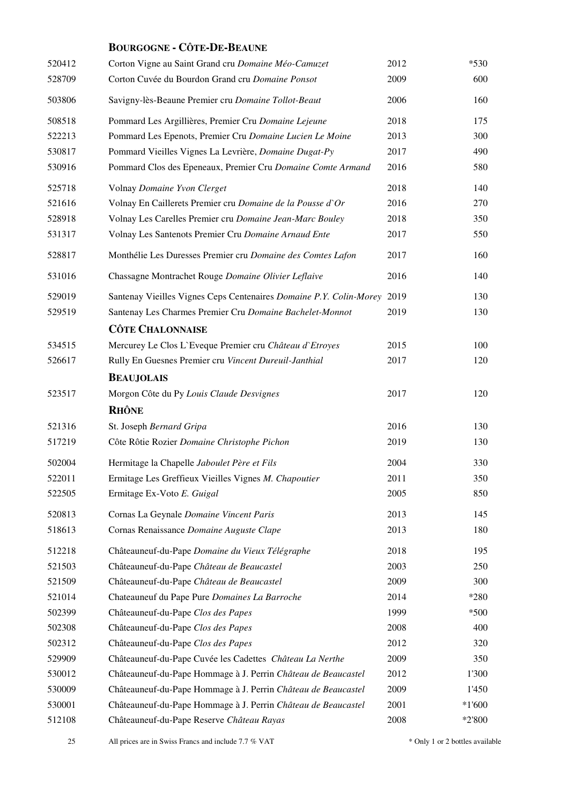#### **BOURGOGNE - CÔTE-DE-BEAUNE**

| 520412 | Corton Vigne au Saint Grand cru Domaine Méo-Camuzet                     | 2012 | $*530$   |
|--------|-------------------------------------------------------------------------|------|----------|
| 528709 | Corton Cuvée du Bourdon Grand cru Domaine Ponsot                        | 2009 | 600      |
| 503806 | Savigny-lès-Beaune Premier cru Domaine Tollot-Beaut                     | 2006 | 160      |
| 508518 | Pommard Les Argillières, Premier Cru Domaine Lejeune                    | 2018 | 175      |
| 522213 | Pommard Les Epenots, Premier Cru Domaine Lucien Le Moine                | 2013 | 300      |
| 530817 | Pommard Vieilles Vignes La Levrière, Domaine Dugat-Py                   | 2017 | 490      |
| 530916 | Pommard Clos des Epeneaux, Premier Cru Domaine Comte Armand             | 2016 | 580      |
| 525718 | Volnay Domaine Yvon Clerget                                             | 2018 | 140      |
| 521616 | Volnay En Caillerets Premier cru Domaine de la Pousse d'Or              | 2016 | 270      |
| 528918 | Volnay Les Carelles Premier cru Domaine Jean-Marc Bouley                | 2018 | 350      |
| 531317 | Volnay Les Santenots Premier Cru Domaine Arnaud Ente                    | 2017 | 550      |
| 528817 | Monthélie Les Duresses Premier cru Domaine des Comtes Lafon             | 2017 | 160      |
| 531016 | Chassagne Montrachet Rouge Domaine Olivier Leflaive                     | 2016 | 140      |
| 529019 | Santenay Vieilles Vignes Ceps Centenaires Domaine P.Y. Colin-Morey 2019 |      | 130      |
| 529519 | Santenay Les Charmes Premier Cru Domaine Bachelet-Monnot                | 2019 | 130      |
|        | <b>CÔTE CHALONNAISE</b>                                                 |      |          |
| 534515 | Mercurey Le Clos L'Eveque Premier cru Château d'Etroyes                 | 2015 | 100      |
| 526617 | Rully En Guesnes Premier cru Vincent Dureuil-Janthial                   | 2017 | 120      |
|        | <b>BEAUJOLAIS</b>                                                       |      |          |
| 523517 | Morgon Côte du Py Louis Claude Desvignes                                | 2017 | 120      |
|        | <b>RHÔNE</b>                                                            |      |          |
| 521316 | St. Joseph Bernard Gripa                                                | 2016 | 130      |
| 517219 | Côte Rôtie Rozier Domaine Christophe Pichon                             | 2019 | 130      |
| 502004 | Hermitage la Chapelle Jaboulet Père et Fils                             | 2004 | 330      |
| 522011 | Ermitage Les Greffieux Vieilles Vignes M. Chapoutier                    | 2011 | 350      |
| 522505 | Ermitage Ex-Voto E. Guigal                                              | 2005 | 850      |
| 520813 | Cornas La Geynale Domaine Vincent Paris                                 | 2013 | 145      |
| 518613 | Cornas Renaissance Domaine Auguste Clape                                | 2013 | 180      |
| 512218 | Châteauneuf-du-Pape Domaine du Vieux Télégraphe                         | 2018 | 195      |
| 521503 | Châteauneuf-du-Pape Château de Beaucastel                               | 2003 | 250      |
| 521509 | Châteauneuf-du-Pape Château de Beaucastel                               | 2009 | 300      |
| 521014 | Chateauneuf du Pape Pure Domaines La Barroche                           | 2014 | *280     |
| 502399 | Châteauneuf-du-Pape Clos des Papes                                      | 1999 | $*500$   |
| 502308 | Châteauneuf-du-Pape Clos des Papes                                      | 2008 | 400      |
| 502312 | Châteauneuf-du-Pape Clos des Papes                                      | 2012 | 320      |
| 529909 | Châteauneuf-du-Pape Cuvée les Cadettes Château La Nerthe                | 2009 | 350      |
| 530012 | Châteauneuf-du-Pape Hommage à J. Perrin Château de Beaucastel           | 2012 | 1'300    |
| 530009 | Châteauneuf-du-Pape Hommage à J. Perrin Château de Beaucastel           | 2009 | 1'450    |
| 530001 | Châteauneuf-du-Pape Hommage à J. Perrin Château de Beaucastel           | 2001 | $*1'600$ |
| 512108 | Châteauneuf-du-Pape Reserve Château Rayas                               | 2008 | $*2'800$ |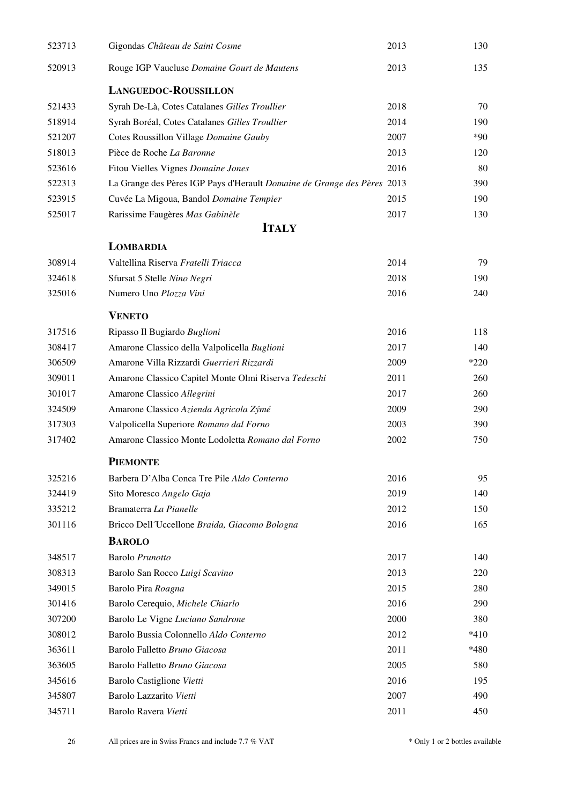<span id="page-25-0"></span>

| 523713 | Gigondas Château de Saint Cosme                                         | 2013 | 130    |
|--------|-------------------------------------------------------------------------|------|--------|
| 520913 | Rouge IGP Vaucluse Domaine Gourt de Mautens                             | 2013 | 135    |
|        | <b>LANGUEDOC-ROUSSILLON</b>                                             |      |        |
| 521433 | Syrah De-Là, Cotes Catalanes Gilles Troullier                           | 2018 | 70     |
| 518914 | Syrah Boréal, Cotes Catalanes Gilles Troullier                          | 2014 | 190    |
| 521207 | Cotes Roussillon Village Domaine Gauby                                  | 2007 | $*90$  |
| 518013 | Pièce de Roche La Baronne                                               | 2013 | 120    |
| 523616 | Fitou Vielles Vignes Domaine Jones                                      | 2016 | 80     |
| 522313 | La Grange des Pères IGP Pays d'Herault Domaine de Grange des Pères 2013 |      | 390    |
| 523915 | Cuvée La Migoua, Bandol Domaine Tempier                                 | 2015 | 190    |
| 525017 | Rarissime Faugères Mas Gabinèle                                         | 2017 | 130    |
|        | <b>ITALY</b>                                                            |      |        |
|        | <b>LOMBARDIA</b>                                                        |      |        |
| 308914 | Valtellina Riserva Fratelli Triacca                                     | 2014 | 79     |
| 324618 | Sfursat 5 Stelle Nino Negri                                             | 2018 | 190    |
| 325016 | Numero Uno Plozza Vini                                                  | 2016 | 240    |
|        | <b>VENETO</b>                                                           |      |        |
| 317516 | Ripasso Il Bugiardo Buglioni                                            | 2016 | 118    |
| 308417 | Amarone Classico della Valpolicella Buglioni                            | 2017 | 140    |
| 306509 | Amarone Villa Rizzardi Guerrieri Rizzardi                               | 2009 | $*220$ |
| 309011 | Amarone Classico Capitel Monte Olmi Riserva Tedeschi                    | 2011 | 260    |
| 301017 | Amarone Classico Allegrini                                              | 2017 | 260    |
| 324509 | Amarone Classico Azienda Agricola Zýmé                                  | 2009 | 290    |
| 317303 | Valpolicella Superiore Romano dal Forno                                 | 2003 | 390    |
| 317402 | Amarone Classico Monte Lodoletta Romano dal Forno                       | 2002 | 750    |
|        | <b>PIEMONTE</b>                                                         |      |        |
| 325216 | Barbera D'Alba Conca Tre Pile Aldo Conterno                             | 2016 | 95     |
| 324419 | Sito Moresco Angelo Gaja                                                | 2019 | 140    |
| 335212 | Bramaterra La Pianelle                                                  | 2012 | 150    |
| 301116 | Bricco Dell Uccellone Braida, Giacomo Bologna                           | 2016 | 165    |
|        | <b>BAROLO</b>                                                           |      |        |
| 348517 | Barolo Prunotto                                                         | 2017 | 140    |
| 308313 | Barolo San Rocco Luigi Scavino                                          | 2013 | 220    |
| 349015 | Barolo Pira Roagna                                                      | 2015 | 280    |
| 301416 | Barolo Cerequio, Michele Chiarlo                                        | 2016 | 290    |
| 307200 | Barolo Le Vigne Luciano Sandrone                                        | 2000 | 380    |
| 308012 | Barolo Bussia Colonnello Aldo Conterno                                  | 2012 | $*410$ |
| 363611 | Barolo Falletto Bruno Giacosa                                           | 2011 | *480   |
| 363605 | Barolo Falletto Bruno Giacosa                                           | 2005 | 580    |
| 345616 | Barolo Castiglione Vietti                                               | 2016 | 195    |
| 345807 | Barolo Lazzarito Vietti                                                 | 2007 | 490    |
| 345711 | Barolo Ravera Vietti                                                    | 2011 | 450    |
|        |                                                                         |      |        |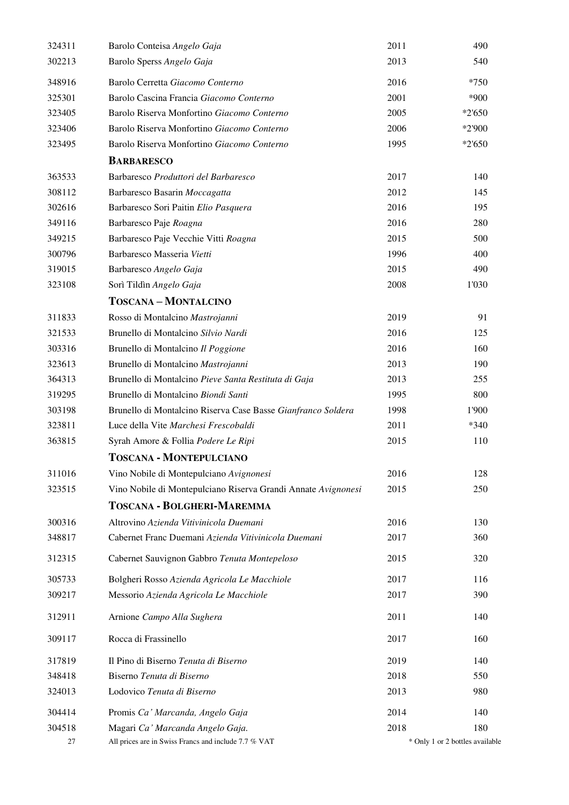| 324311 | Barolo Conteisa Angelo Gaja                                   | 2011 | 490                             |
|--------|---------------------------------------------------------------|------|---------------------------------|
| 302213 | Barolo Sperss Angelo Gaja                                     | 2013 | 540                             |
| 348916 | Barolo Cerretta Giacomo Conterno                              | 2016 | $*750$                          |
| 325301 | Barolo Cascina Francia Giacomo Conterno                       | 2001 | *900                            |
| 323405 | Barolo Riserva Monfortino Giacomo Conterno                    | 2005 | $*2'650$                        |
| 323406 | Barolo Riserva Monfortino Giacomo Conterno                    | 2006 | *2'900                          |
| 323495 | Barolo Riserva Monfortino Giacomo Conterno                    | 1995 | $*2'650$                        |
|        | <b>BARBARESCO</b>                                             |      |                                 |
| 363533 | Barbaresco Produttori del Barbaresco                          | 2017 | 140                             |
| 308112 | Barbaresco Basarin Moccagatta                                 | 2012 | 145                             |
| 302616 | Barbaresco Sori Paitin Elio Pasquera                          | 2016 | 195                             |
| 349116 | Barbaresco Paje Roagna                                        | 2016 | 280                             |
| 349215 | Barbaresco Paje Vecchie Vitti Roagna                          | 2015 | 500                             |
| 300796 | Barbaresco Masseria Vietti                                    | 1996 | 400                             |
| 319015 | Barbaresco Angelo Gaja                                        | 2015 | 490                             |
| 323108 | Sorì Tildìn Angelo Gaja                                       | 2008 | 1'030                           |
|        | <b>TOSCANA-MONTALCINO</b>                                     |      |                                 |
| 311833 | Rosso di Montalcino Mastrojanni                               | 2019 | 91                              |
| 321533 | Brunello di Montalcino Silvio Nardi                           | 2016 | 125                             |
| 303316 | Brunello di Montalcino Il Poggione                            | 2016 | 160                             |
| 323613 | Brunello di Montalcino Mastrojanni                            | 2013 | 190                             |
| 364313 | Brunello di Montalcino Pieve Santa Restituta di Gaja          | 2013 | 255                             |
| 319295 | Brunello di Montalcino Biondi Santi                           | 1995 | 800                             |
| 303198 | Brunello di Montalcino Riserva Case Basse Gianfranco Soldera  | 1998 | 1'900                           |
| 323811 | Luce della Vite Marchesi Frescobaldi                          | 2011 | $*340$                          |
| 363815 | Syrah Amore & Follia Podere Le Ripi                           | 2015 | 110                             |
|        | <b>TOSCANA - MONTEPULCIANO</b>                                |      |                                 |
| 311016 | Vino Nobile di Montepulciano Avignonesi                       | 2016 | 128                             |
| 323515 | Vino Nobile di Montepulciano Riserva Grandi Annate Avignonesi | 2015 | 250                             |
|        | TOSCANA - BOLGHERI-MAREMMA                                    |      |                                 |
| 300316 | Altrovino Azienda Vitivinicola Duemani                        | 2016 | 130                             |
| 348817 | Cabernet Franc Duemani Azienda Vitivinicola Duemani           | 2017 | 360                             |
| 312315 | Cabernet Sauvignon Gabbro Tenuta Montepeloso                  | 2015 | 320                             |
| 305733 | Bolgheri Rosso Azienda Agricola Le Macchiole                  | 2017 | 116                             |
| 309217 | Messorio Azienda Agricola Le Macchiole                        | 2017 | 390                             |
| 312911 | Arnione Campo Alla Sughera                                    | 2011 | 140                             |
| 309117 | Rocca di Frassinello                                          | 2017 | 160                             |
| 317819 | Il Pino di Biserno Tenuta di Biserno                          | 2019 | 140                             |
| 348418 | Biserno Tenuta di Biserno                                     | 2018 | 550                             |
| 324013 | Lodovico Tenuta di Biserno                                    | 2013 | 980                             |
| 304414 | Promis Ca' Marcanda, Angelo Gaja                              | 2014 | 140                             |
| 304518 | Magari Ca' Marcanda Angelo Gaja.                              | 2018 | 180                             |
| 27     | All prices are in Swiss Francs and include 7.7 % VAT          |      | * Only 1 or 2 bottles available |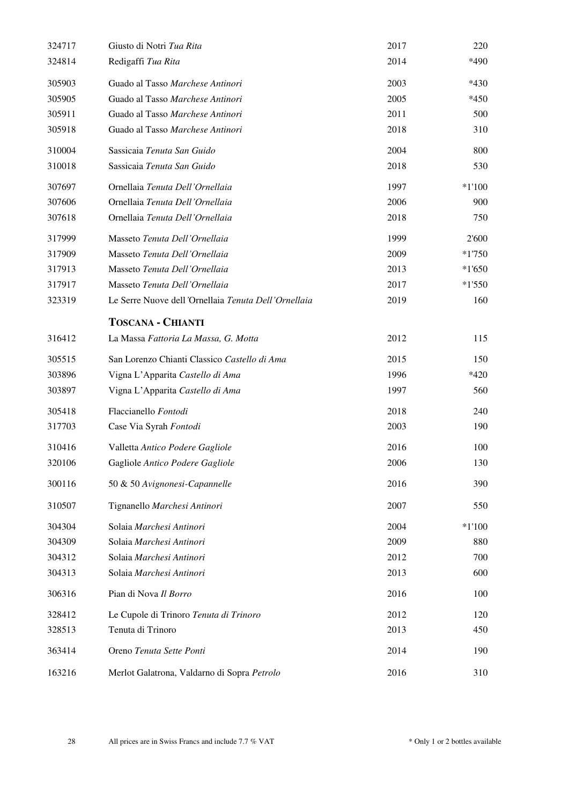| 324717 | Giusto di Notri Tua Rita                            | 2017 | 220      |
|--------|-----------------------------------------------------|------|----------|
| 324814 | Redigaffi Tua Rita                                  | 2014 | *490     |
| 305903 | Guado al Tasso Marchese Antinori                    | 2003 | $*430$   |
| 305905 | Guado al Tasso Marchese Antinori                    | 2005 | $*450$   |
| 305911 | Guado al Tasso Marchese Antinori                    | 2011 | 500      |
| 305918 | Guado al Tasso Marchese Antinori                    | 2018 | 310      |
| 310004 | Sassicaia Tenuta San Guido                          | 2004 | 800      |
| 310018 | Sassicaia Tenuta San Guido                          | 2018 | 530      |
| 307697 | Ornellaia Tenuta Dell'Ornellaia                     | 1997 | $*1'100$ |
| 307606 | Ornellaia Tenuta Dell'Ornellaia                     | 2006 | 900      |
| 307618 | Ornellaia Tenuta Dell'Ornellaia                     | 2018 | 750      |
| 317999 | Masseto Tenuta Dell'Ornellaia                       | 1999 | 2'600    |
| 317909 | Masseto Tenuta Dell'Ornellaia                       | 2009 | $*1750$  |
| 317913 | Masseto Tenuta Dell'Ornellaia                       | 2013 | $*1'650$ |
| 317917 | Masseto Tenuta Dell'Ornellaia                       | 2017 | $*1'550$ |
| 323319 | Le Serre Nuove dell'Ornellaia Tenuta Dell'Ornellaia | 2019 | 160      |
|        | <b>TOSCANA - CHIANTI</b>                            |      |          |
| 316412 | La Massa Fattoria La Massa, G. Motta                | 2012 | 115      |
| 305515 | San Lorenzo Chianti Classico Castello di Ama        | 2015 | 150      |
| 303896 | Vigna L'Apparita Castello di Ama                    | 1996 | $*420$   |
| 303897 | Vigna L'Apparita Castello di Ama                    | 1997 | 560      |
| 305418 | Flaccianello Fontodi                                | 2018 | 240      |
| 317703 | Case Via Syrah Fontodi                              | 2003 | 190      |
| 310416 | Valletta Antico Podere Gagliole                     | 2016 | 100      |
| 320106 | Gagliole Antico Podere Gagliole                     | 2006 | 130      |
| 300116 | 50 & 50 Avignonesi-Capannelle                       | 2016 | 390      |
| 310507 | Tignanello Marchesi Antinori                        | 2007 | 550      |
| 304304 | Solaia Marchesi Antinori                            | 2004 | $*1'100$ |
| 304309 | Solaia Marchesi Antinori                            | 2009 | 880      |
| 304312 | Solaia Marchesi Antinori                            | 2012 | 700      |
| 304313 | Solaia Marchesi Antinori                            | 2013 | 600      |
| 306316 | Pian di Nova Il Borro                               | 2016 | 100      |
| 328412 | Le Cupole di Trinoro Tenuta di Trinoro              | 2012 | 120      |
| 328513 | Tenuta di Trinoro                                   | 2013 | 450      |
| 363414 | Oreno Tenuta Sette Ponti                            | 2014 | 190      |
| 163216 | Merlot Galatrona, Valdarno di Sopra Petrolo         | 2016 | 310      |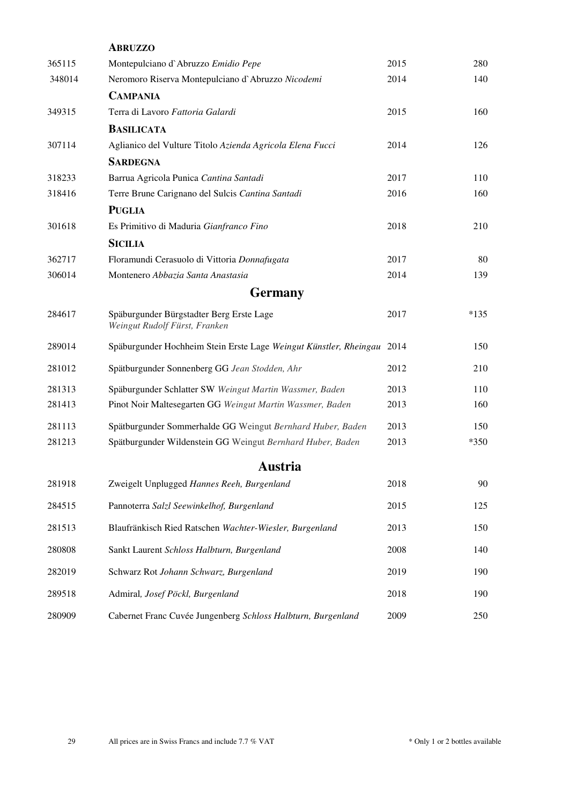|        | <b>ABRUZZO</b>                                                            |      |        |
|--------|---------------------------------------------------------------------------|------|--------|
| 365115 | Montepulciano d'Abruzzo Emidio Pepe                                       | 2015 | 280    |
| 348014 | Neromoro Riserva Montepulciano d'Abruzzo Nicodemi                         | 2014 | 140    |
|        | <b>CAMPANIA</b>                                                           |      |        |
| 349315 | Terra di Lavoro Fattoria Galardi                                          | 2015 | 160    |
|        | <b>BASILICATA</b>                                                         |      |        |
| 307114 | Aglianico del Vulture Titolo Azienda Agricola Elena Fucci                 | 2014 | 126    |
|        | <b>SARDEGNA</b>                                                           |      |        |
| 318233 | Barrua Agricola Punica Cantina Santadi                                    | 2017 | 110    |
| 318416 | Terre Brune Carignano del Sulcis Cantina Santadi                          | 2016 | 160    |
|        | <b>PUGLIA</b>                                                             |      |        |
| 301618 | Es Primitivo di Maduria Gianfranco Fino                                   | 2018 | 210    |
|        | <b>SICILIA</b>                                                            |      |        |
| 362717 | Floramundi Cerasuolo di Vittoria Donnafugata                              | 2017 | 80     |
| 306014 | Montenero Abbazia Santa Anastasia                                         | 2014 | 139    |
|        | <b>Germany</b>                                                            |      |        |
| 284617 | Späburgunder Bürgstadter Berg Erste Lage<br>Weingut Rudolf Fürst, Franken | 2017 | $*135$ |
| 289014 | Späburgunder Hochheim Stein Erste Lage Weingut Künstler, Rheingau 2014    |      | 150    |
| 281012 | Spätburgunder Sonnenberg GG Jean Stodden, Ahr                             | 2012 | 210    |
| 281313 | Späburgunder Schlatter SW Weingut Martin Wassmer, Baden                   | 2013 | 110    |
| 281413 | Pinot Noir Maltesegarten GG Weingut Martin Wassmer, Baden                 | 2013 | 160    |
| 281113 | Spätburgunder Sommerhalde GG Weingut Bernhard Huber, Baden                | 2013 | 150    |
| 281213 | Spätburgunder Wildenstein GG Weingut Bernhard Huber, Baden                | 2013 | $*350$ |
|        | Austria                                                                   |      |        |
| 281918 | Zweigelt Unplugged Hannes Reeh, Burgenland                                | 2018 | 90     |
| 284515 | Pannoterra Salzl Seewinkelhof, Burgenland                                 | 2015 | 125    |
| 281513 | Blaufränkisch Ried Ratschen Wachter-Wiesler, Burgenland                   | 2013 | 150    |
| 280808 | Sankt Laurent Schloss Halbturn, Burgenland                                | 2008 | 140    |
| 282019 | Schwarz Rot Johann Schwarz, Burgenland                                    | 2019 | 190    |
| 289518 | Admiral, Josef Pöckl, Burgenland                                          | 2018 | 190    |
| 280909 | Cabernet Franc Cuvée Jungenberg Schloss Halbturn, Burgenland              | 2009 | 250    |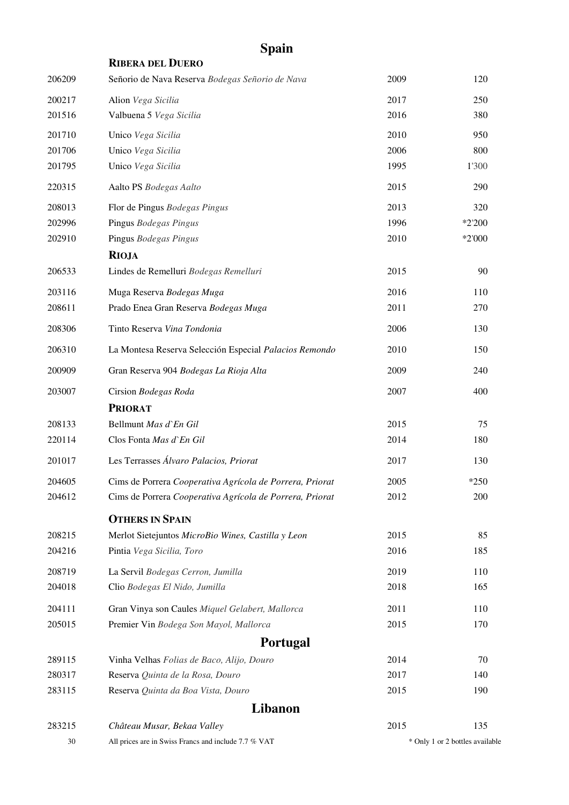<span id="page-29-2"></span><span id="page-29-1"></span><span id="page-29-0"></span>

|        | <b>RIBERA DEL DUERO</b>                                  |      |                                 |
|--------|----------------------------------------------------------|------|---------------------------------|
| 206209 | Señorio de Nava Reserva Bodegas Señorio de Nava          | 2009 | 120                             |
| 200217 | Alion Vega Sicilia                                       | 2017 | 250                             |
| 201516 | Valbuena 5 Vega Sicilia                                  | 2016 | 380                             |
| 201710 | Unico Vega Sicilia                                       | 2010 | 950                             |
| 201706 | Unico Vega Sicilia                                       | 2006 | 800                             |
| 201795 | Unico Vega Sicilia                                       | 1995 | 1'300                           |
| 220315 | Aalto PS Bodegas Aalto                                   | 2015 | 290                             |
| 208013 | Flor de Pingus Bodegas Pingus                            | 2013 | 320                             |
| 202996 | Pingus Bodegas Pingus                                    | 1996 | $*2'200$                        |
| 202910 | Pingus Bodegas Pingus                                    | 2010 | *2'000                          |
|        | <b>RIOJA</b>                                             |      |                                 |
| 206533 | Lindes de Remelluri Bodegas Remelluri                    | 2015 | 90                              |
| 203116 | Muga Reserva Bodegas Muga                                | 2016 | 110                             |
| 208611 | Prado Enea Gran Reserva Bodegas Muga                     | 2011 | 270                             |
| 208306 | Tinto Reserva Vina Tondonia                              | 2006 | 130                             |
| 206310 | La Montesa Reserva Selección Especial Palacios Remondo   | 2010 | 150                             |
| 200909 | Gran Reserva 904 Bodegas La Rioja Alta                   | 2009 | 240                             |
| 203007 | Cirsion Bodegas Roda                                     | 2007 | 400                             |
|        | <b>PRIORAT</b>                                           |      |                                 |
| 208133 | Bellmunt Mas d'En Gil                                    | 2015 | 75                              |
| 220114 | Clos Fonta Mas d'En Gil                                  | 2014 | 180                             |
| 201017 | Les Terrasses Álvaro Palacios, Priorat                   | 2017 | 130                             |
| 204605 | Cims de Porrera Cooperativa Agrícola de Porrera, Priorat | 2005 | $*250$                          |
| 204612 | Cims de Porrera Cooperativa Agrícola de Porrera, Priorat | 2012 | 200                             |
|        | <b>OTHERS IN SPAIN</b>                                   |      |                                 |
| 208215 | Merlot Sietejuntos MicroBio Wines, Castilla y Leon       | 2015 | 85                              |
| 204216 | Pintia Vega Sicilia, Toro                                | 2016 | 185                             |
| 208719 | La Servil Bodegas Cerron, Jumilla                        | 2019 | 110                             |
| 204018 | Clio Bodegas El Nido, Jumilla                            | 2018 | 165                             |
| 204111 | Gran Vinya son Caules Miquel Gelabert, Mallorca          | 2011 | 110                             |
| 205015 | Premier Vin Bodega Son Mayol, Mallorca                   | 2015 | 170                             |
|        | <b>Portugal</b>                                          |      |                                 |
| 289115 | Vinha Velhas Folias de Baco, Alijo, Douro                | 2014 | 70                              |
| 280317 | Reserva Quinta de la Rosa, Douro                         | 2017 | 140                             |
| 283115 | Reserva Quinta da Boa Vista, Douro                       | 2015 | 190                             |
|        | Libanon                                                  |      |                                 |
| 283215 | Château Musar, Bekaa Valley                              | 2015 | 135                             |
| 30     | All prices are in Swiss Francs and include 7.7 % VAT     |      | * Only 1 or 2 bottles available |

## **Spain**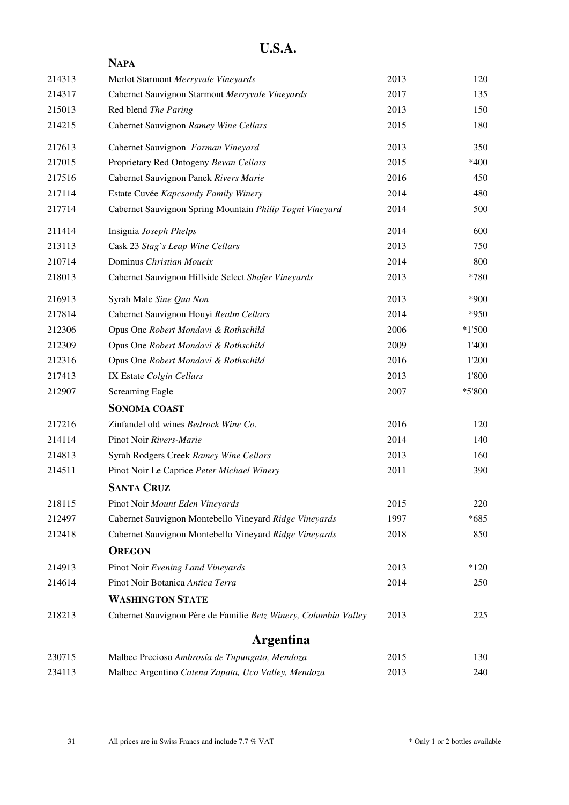<span id="page-30-0"></span>

|        | <b>NAPA</b>                                                     |      |          |
|--------|-----------------------------------------------------------------|------|----------|
| 214313 | Merlot Starmont Merryvale Vineyards                             | 2013 | 120      |
| 214317 | Cabernet Sauvignon Starmont Merryvale Vineyards                 | 2017 | 135      |
| 215013 | Red blend The Paring                                            | 2013 | 150      |
| 214215 | Cabernet Sauvignon Ramey Wine Cellars                           | 2015 | 180      |
| 217613 | Cabernet Sauvignon Forman Vineyard                              | 2013 | 350      |
| 217015 | Proprietary Red Ontogeny Bevan Cellars                          | 2015 | *400     |
| 217516 | Cabernet Sauvignon Panek Rivers Marie                           | 2016 | 450      |
| 217114 | Estate Cuvée Kapcsandy Family Winery                            | 2014 | 480      |
| 217714 | Cabernet Sauvignon Spring Mountain Philip Togni Vineyard        | 2014 | 500      |
| 211414 | Insignia Joseph Phelps                                          | 2014 | 600      |
| 213113 | Cask 23 Stag`s Leap Wine Cellars                                | 2013 | 750      |
| 210714 | Dominus Christian Moueix                                        | 2014 | 800      |
| 218013 | Cabernet Sauvignon Hillside Select Shafer Vineyards             | 2013 | *780     |
| 216913 | Syrah Male Sine Qua Non                                         | 2013 | *900     |
| 217814 | Cabernet Sauvignon Houyi Realm Cellars                          | 2014 | *950     |
| 212306 | Opus One Robert Mondavi & Rothschild                            | 2006 | $*1'500$ |
| 212309 | Opus One Robert Mondavi & Rothschild                            | 2009 | 1'400    |
| 212316 | Opus One Robert Mondavi & Rothschild                            | 2016 | 1'200    |
| 217413 | IX Estate Colgin Cellars                                        | 2013 | 1'800    |
| 212907 | <b>Screaming Eagle</b>                                          | 2007 | $*5'800$ |
|        | <b>SONOMA COAST</b>                                             |      |          |
| 217216 | Zinfandel old wines Bedrock Wine Co.                            | 2016 | 120      |
| 214114 | Pinot Noir Rivers-Marie                                         | 2014 | 140      |
| 214813 | Syrah Rodgers Creek Ramey Wine Cellars                          | 2013 | 160      |
| 214511 | Pinot Noir Le Caprice Peter Michael Winery                      | 2011 | 390      |
|        | <b>SANTA CRUZ</b>                                               |      |          |
| 218115 | Pinot Noir Mount Eden Vineyards                                 | 2015 | 220      |
| 212497 | Cabernet Sauvignon Montebello Vineyard Ridge Vineyards          | 1997 | $*685$   |
| 212418 | Cabernet Sauvignon Montebello Vineyard Ridge Vineyards          | 2018 | 850      |
|        | <b>OREGON</b>                                                   |      |          |
| 214913 | Pinot Noir Evening Land Vineyards                               | 2013 | $*120$   |
| 214614 | Pinot Noir Botanica Antica Terra                                | 2014 | 250      |
|        | <b>WASHINGTON STATE</b>                                         |      |          |
| 218213 | Cabernet Sauvignon Père de Familie Betz Winery, Columbia Valley | 2013 | 225      |
|        | <b>Argentina</b>                                                |      |          |
| 230715 | Malbec Precioso Ambrosía de Tupungato, Mendoza                  | 2015 | 130      |
| 234113 | Malbec Argentino Catena Zapata, Uco Valley, Mendoza             | 2013 | 240      |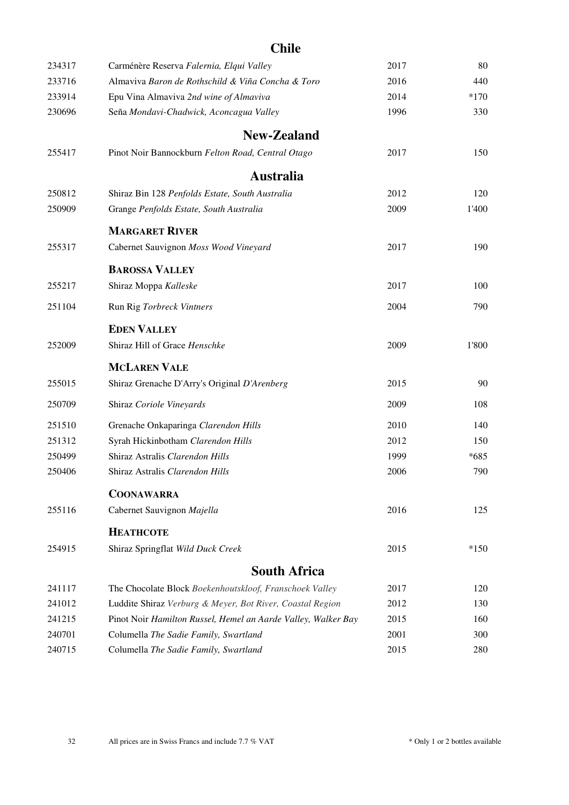### **Chile**

<span id="page-31-4"></span><span id="page-31-3"></span><span id="page-31-2"></span><span id="page-31-1"></span><span id="page-31-0"></span>

| 234317 | Carménère Reserva Falernia, Elqui Valley                      | 2017 | 80     |
|--------|---------------------------------------------------------------|------|--------|
| 233716 | Almaviva Baron de Rothschild & Viña Concha & Toro             | 2016 | 440    |
| 233914 | Epu Vina Almaviva 2nd wine of Almaviva                        | 2014 | $*170$ |
| 230696 | Seña Mondavi-Chadwick, Aconcagua Valley                       | 1996 | 330    |
|        | New-Zealand                                                   |      |        |
| 255417 | Pinot Noir Bannockburn Felton Road, Central Otago             | 2017 | 150    |
|        | <b>Australia</b>                                              |      |        |
| 250812 | Shiraz Bin 128 Penfolds Estate, South Australia               | 2012 | 120    |
| 250909 | Grange Penfolds Estate, South Australia                       | 2009 | 1'400  |
|        | <b>MARGARET RIVER</b>                                         |      |        |
| 255317 | Cabernet Sauvignon Moss Wood Vineyard                         | 2017 | 190    |
|        | <b>BAROSSA VALLEY</b>                                         |      |        |
| 255217 | Shiraz Moppa Kalleske                                         | 2017 | 100    |
| 251104 | Run Rig Torbreck Vintners                                     | 2004 | 790    |
|        | <b>EDEN VALLEY</b>                                            |      |        |
| 252009 | Shiraz Hill of Grace Henschke                                 | 2009 | 1'800  |
|        | <b>MCLAREN VALE</b>                                           |      |        |
| 255015 | Shiraz Grenache D'Arry's Original D'Arenberg                  | 2015 | 90     |
| 250709 | Shiraz Coriole Vineyards                                      | 2009 | 108    |
| 251510 | Grenache Onkaparinga Clarendon Hills                          | 2010 | 140    |
| 251312 | Syrah Hickinbotham Clarendon Hills                            | 2012 | 150    |
| 250499 | Shiraz Astralis Clarendon Hills                               | 1999 | $*685$ |
| 250406 | Shiraz Astralis Clarendon Hills                               | 2006 | 790    |
|        | <b>COONAWARRA</b>                                             |      |        |
| 255116 | Cabernet Sauvignon Majella                                    | 2016 | 125    |
|        | <b>НЕАТНСОТЕ</b>                                              |      |        |
| 254915 | Shiraz Springflat Wild Duck Creek                             | 2015 | $*150$ |
|        | <b>South Africa</b>                                           |      |        |
| 241117 | The Chocolate Block Boekenhoutskloof, Franschoek Valley       | 2017 | 120    |
| 241012 | Luddite Shiraz Verburg & Meyer, Bot River, Coastal Region     | 2012 | 130    |
| 241215 | Pinot Noir Hamilton Russel, Hemel an Aarde Valley, Walker Bay | 2015 | 160    |
| 240701 | Columella The Sadie Family, Swartland                         | 2001 | 300    |
| 240715 | Columella The Sadie Family, Swartland                         | 2015 | 280    |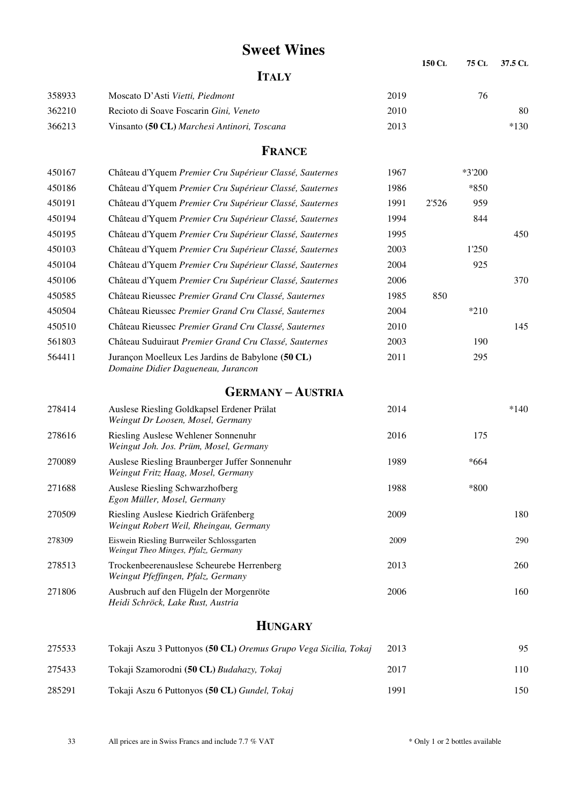### <span id="page-32-0"></span> **Sweet Wines <sup>150</sup> <sup>C</sup><sup>L</sup> <sup>75</sup> <sup>C</sup>L 37.5 <sup>C</sup><sup>L</sup> ITALY** 358933 Moscato D'Asti *Vietti, Piedmont* 2019 76 362210 Recioto di Soave Foscarin *Gini, Veneto* 2010 80 366213 Vinsanto **(50 CL)** *Marchesi Antinori, Toscana* 2013 \*130 **FRANCE** 450167 Château d'Yquem *Premier Cru Supérieur Classé, Sauternes* 1967 \*3'200 450186 Château d'Yquem *Premier Cru Supérieur Classé, Sauternes* 1986 \*850 450191 Château d'Yquem *Premier Cru Supérieur Classé, Sauternes* 1991 2'526 959 450194 Château d'Yquem *Premier Cru Supérieur Classé, Sauternes* 1994 844 450195 Château d'Yquem *Premier Cru Supérieur Classé, Sauternes* 1995 450 450103 Château d'Yquem *Premier Cru Supérieur Classé, Sauternes* 2003 1'250 450104 Château d'Yquem *Premier Cru Supérieur Classé, Sauternes* 2004 925 450106 Château d'Yquem *Premier Cru Supérieur Classé, Sauternes* 2006 370 450585 Château Rieussec *Premier Grand Cru Classé, Sauternes* 1985 850 450504 Château Rieussec *Premier Grand Cru Classé, Sauternes* 2004 \*210 450510 Château Rieussec *Premier Grand Cru Classé, Sauternes* 2010 145 561803 Château Suduiraut *Premier Grand Cru Classé, Sauternes* 2003 190 564411 Jurançon Moelleux Les Jardins de Babylone **(50 CL)** 2011 295 *Domaine Didier Dagueneau, Jurancon*  **GERMANY – AUSTRIA** 278414 Auslese Riesling Goldkapsel Erdener Prälat 2014 \*140 *Weingut Dr Loosen, Mosel, Germany*  278616 Riesling Auslese Wehlener Sonnenuhr 2016 175  *Weingut Joh. Jos. Prüm, Mosel, Germany*  270089 Auslese Riesling Braunberger Juffer Sonnenuhr 1989 \*664 *Weingut Fritz Haag, Mosel, Germany*  271688 Auslese Riesling Schwarzhofberg 1988 \*800 *Egon Müller, Mosel, Germany*  270509 Riesling Auslese Kiedrich Gräfenberg 2009 180 *Weingut Robert Weil, Rheingau, Germany*  278309 Eiswein Riesling Burrweiler Schlossgarten 2009 290 *Weingut Theo Minges, Pfalz, Germany*  278513 Trockenbeerenauslese Scheurebe Herrenberg 2013 260 *Weingut Pfeffingen, Pfalz, Germany*  271806 Ausbruch auf den Flügeln der Morgenröte 2006 160 *Heidi Schröck, Lake Rust, Austria*   **HUNGARY**

| 275533 | Tokaji Aszu 3 Puttonyos (50 CL) Oremus Grupo Vega Sicilia, Tokaj | 2013 | 95    |
|--------|------------------------------------------------------------------|------|-------|
| 275433 | Tokaji Szamorodni (50 CL) Budahazy, Tokaj                        | 2017 | l 1 C |
| 285291 | Tokaji Aszu 6 Puttonyos (50 CL) Gundel, Tokaj                    | 1991 | 150   |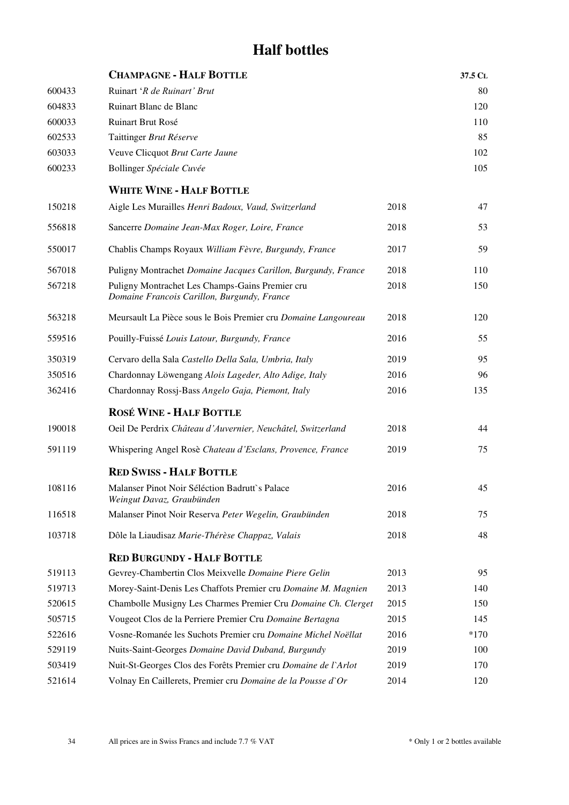# **Half bottles**

<span id="page-33-0"></span>

|        | <b>CHAMPAGNE - HALF BOTTLE</b>                                                                 |      | 37.5 CL |
|--------|------------------------------------------------------------------------------------------------|------|---------|
| 600433 | Ruinart 'R de Ruinart' Brut                                                                    |      | 80      |
| 604833 | Ruinart Blanc de Blanc                                                                         |      | 120     |
| 600033 | Ruinart Brut Rosé                                                                              |      | 110     |
| 602533 | Taittinger Brut Réserve                                                                        |      | 85      |
| 603033 | Veuve Clicquot Brut Carte Jaune                                                                |      | 102     |
| 600233 | Bollinger Spéciale Cuvée                                                                       |      | 105     |
|        | <b>WHITE WINE - HALF BOTTLE</b>                                                                |      |         |
| 150218 | Aigle Les Murailles Henri Badoux, Vaud, Switzerland                                            | 2018 | 47      |
| 556818 | Sancerre Domaine Jean-Max Roger, Loire, France                                                 | 2018 | 53      |
| 550017 | Chablis Champs Royaux William Fèvre, Burgundy, France                                          | 2017 | 59      |
| 567018 | Puligny Montrachet Domaine Jacques Carillon, Burgundy, France                                  | 2018 | 110     |
| 567218 | Puligny Montrachet Les Champs-Gains Premier cru<br>Domaine Francois Carillon, Burgundy, France | 2018 | 150     |
| 563218 | Meursault La Pièce sous le Bois Premier cru Domaine Langoureau                                 | 2018 | 120     |
| 559516 | Pouilly-Fuissé Louis Latour, Burgundy, France                                                  | 2016 | 55      |
| 350319 | Cervaro della Sala Castello Della Sala, Umbria, Italy                                          | 2019 | 95      |
| 350516 | Chardonnay Löwengang Alois Lageder, Alto Adige, Italy                                          | 2016 | 96      |
| 362416 | Chardonnay Rossj-Bass Angelo Gaja, Piemont, Italy                                              | 2016 | 135     |
|        | <b>ROSÉ WINE - HALF BOTTLE</b>                                                                 |      |         |
| 190018 | Oeil De Perdrix Château d'Auvernier, Neuchâtel, Switzerland                                    | 2018 | 44      |
| 591119 | Whispering Angel Rosè Chateau d'Esclans, Provence, France                                      | 2019 | 75      |
|        | <b>RED SWISS - HALF BOTTLE</b>                                                                 |      |         |
| 108116 | Malanser Pinot Noir Séléction Badrutt's Palace<br>Weingut Davaz, Graubünden                    | 2016 | 45      |
| 116518 | Malanser Pinot Noir Reserva Peter Wegelin, Graubünden                                          | 2018 | 75      |
| 103718 | Dôle la Liaudisaz Marie-Thérèse Chappaz, Valais                                                | 2018 | 48      |
|        | <b>RED BURGUNDY - HALF BOTTLE</b>                                                              |      |         |
| 519113 | Gevrey-Chambertin Clos Meixvelle Domaine Piere Gelin                                           | 2013 | 95      |
| 519713 | Morey-Saint-Denis Les Chaffots Premier cru Domaine M. Magnien                                  | 2013 | 140     |
| 520615 | Chambolle Musigny Les Charmes Premier Cru Domaine Ch. Clerget                                  | 2015 | 150     |
| 505715 | Vougeot Clos de la Perriere Premier Cru Domaine Bertagna                                       | 2015 | 145     |
| 522616 | Vosne-Romanée les Suchots Premier cru Domaine Michel Noëllat                                   | 2016 | $*170$  |
| 529119 | Nuits-Saint-Georges Domaine David Duband, Burgundy                                             | 2019 | 100     |
| 503419 | Nuit-St-Georges Clos des Forêts Premier cru Domaine de l'Arlot                                 | 2019 | 170     |
| 521614 | Volnay En Caillerets, Premier cru Domaine de la Pousse d'Or                                    | 2014 | 120     |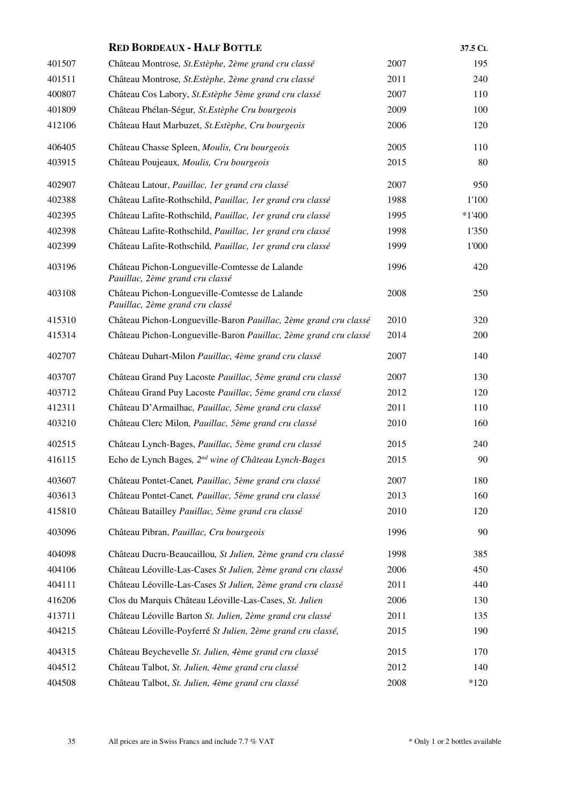|        | <b>RED BORDEAUX - HALF BOTTLE</b>                                                 |      | 37.5 CL  |
|--------|-----------------------------------------------------------------------------------|------|----------|
| 401507 | Château Montrose, St. Estèphe, 2ème grand cru classé                              | 2007 | 195      |
| 401511 | Château Montrose, St. Estèphe, 2ème grand cru classé                              | 2011 | 240      |
| 400807 | Château Cos Labory, St. Estèphe 5ème grand cru classé                             | 2007 | 110      |
| 401809 | Château Phélan-Ségur, St. Estèphe Cru bourgeois                                   | 2009 | 100      |
| 412106 | Château Haut Marbuzet, St. Estèphe, Cru bourgeois                                 | 2006 | 120      |
| 406405 | Château Chasse Spleen, Moulis, Cru bourgeois                                      | 2005 | 110      |
| 403915 | Château Poujeaux, Moulis, Cru bourgeois                                           | 2015 | 80       |
| 402907 | Château Latour, Pauillac, 1er grand cru classé                                    | 2007 | 950      |
| 402388 | Château Lafite-Rothschild, Pauillac, 1er grand cru classé                         | 1988 | 1'100    |
| 402395 | Château Lafite-Rothschild, Pauillac, 1er grand cru classé                         | 1995 | $*1'400$ |
| 402398 | Château Lafite-Rothschild, Pauillac, 1er grand cru classé                         | 1998 | 1'350    |
| 402399 | Château Lafite-Rothschild, Pauillac, 1er grand cru classé                         | 1999 | 1'000    |
| 403196 | Château Pichon-Longueville-Comtesse de Lalande<br>Pauillac, 2ème grand cru classé | 1996 | 420      |
| 403108 | Château Pichon-Longueville-Comtesse de Lalande<br>Pauillac, 2ème grand cru classé | 2008 | 250      |
| 415310 | Château Pichon-Longueville-Baron Pauillac, 2ème grand cru classé                  | 2010 | 320      |
| 415314 | Château Pichon-Longueville-Baron Pauillac, 2ème grand cru classé                  | 2014 | 200      |
| 402707 | Château Duhart-Milon Pauillac, 4ème grand cru classé                              | 2007 | 140      |
| 403707 | Château Grand Puy Lacoste Pauillac, 5ème grand cru classé                         | 2007 | 130      |
| 403712 | Château Grand Puy Lacoste Pauillac, 5ème grand cru classé                         | 2012 | 120      |
| 412311 | Château D'Armailhac, Pauillac, 5ème grand cru classé                              | 2011 | 110      |
| 403210 | Château Clerc Milon, Pauillac, 5ème grand cru classé                              | 2010 | 160      |
| 402515 | Château Lynch-Bages, Pauillac, 5ème grand cru classé                              | 2015 | 240      |
| 416115 | Echo de Lynch Bages, 2 <sup>nd</sup> wine of Château Lynch-Bages                  | 2015 | 90       |
| 403607 | Château Pontet-Canet, Pauillac, 5ème grand cru classé                             | 2007 | 180      |
| 403613 | Château Pontet-Canet, Pauillac, 5ème grand cru classé                             | 2013 | 160      |
| 415810 | Château Batailley Pauillac, 5ème grand cru classé                                 | 2010 | 120      |
| 403096 | Château Pibran, Pauillac, Cru bourgeois                                           | 1996 | 90       |
| 404098 | Château Ducru-Beaucaillou, St Julien, 2ème grand cru classé                       | 1998 | 385      |
| 404106 | Château Léoville-Las-Cases St Julien, 2ème grand cru classé                       | 2006 | 450      |
| 404111 | Château Léoville-Las-Cases St Julien, 2ème grand cru classé                       | 2011 | 440      |
| 416206 | Clos du Marquis Château Léoville-Las-Cases, St. Julien                            | 2006 | 130      |
| 413711 | Château Léoville Barton St. Julien, 2ème grand cru classé                         | 2011 | 135      |
| 404215 | Château Léoville-Poyferré St Julien, 2ème grand cru classé,                       | 2015 | 190      |
| 404315 | Château Beychevelle St. Julien, 4ème grand cru classé                             | 2015 | 170      |
| 404512 | Château Talbot, St. Julien, 4ème grand cru classé                                 | 2012 | 140      |
| 404508 | Château Talbot, St. Julien, 4ème grand cru classé                                 | 2008 | $*120$   |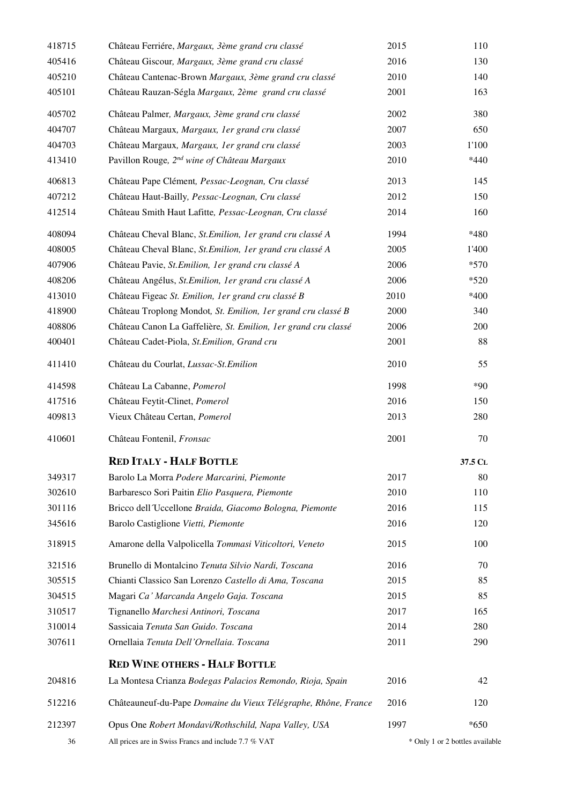| 418715 | Château Ferriére, Margaux, 3ème grand cru classé               | 2015 | 110                             |
|--------|----------------------------------------------------------------|------|---------------------------------|
| 405416 | Château Giscour, Margaux, 3ème grand cru classé                | 2016 | 130                             |
| 405210 | Château Cantenac-Brown Margaux, 3ème grand cru classé          | 2010 | 140                             |
| 405101 | Château Rauzan-Ségla Margaux, 2ème grand cru classé            | 2001 | 163                             |
| 405702 | Château Palmer, Margaux, 3ème grand cru classé                 | 2002 | 380                             |
| 404707 | Château Margaux, Margaux, 1er grand cru classé                 | 2007 | 650                             |
| 404703 | Château Margaux, Margaux, 1er grand cru classé                 | 2003 | 1'100                           |
| 413410 | Pavillon Rouge, 2 <sup>nd</sup> wine of Château Margaux        | 2010 | $*440$                          |
| 406813 | Château Pape Clément, Pessac-Leognan, Cru classé               | 2013 | 145                             |
| 407212 | Château Haut-Bailly, Pessac-Leognan, Cru classé                | 2012 | 150                             |
| 412514 | Château Smith Haut Lafitte, Pessac-Leognan, Cru classé         | 2014 | 160                             |
| 408094 | Château Cheval Blanc, St. Emilion, 1er grand cru classé A      | 1994 | *480                            |
| 408005 | Château Cheval Blanc, St. Emilion, 1er grand cru classé A      | 2005 | 1'400                           |
| 407906 | Château Pavie, St. Emilion, 1er grand cru classé A             | 2006 | $*570$                          |
| 408206 | Château Angélus, St. Emilion, 1er grand cru classé A           | 2006 | $*520$                          |
| 413010 | Château Figeac St. Emilion, 1er grand cru classé B             | 2010 | $*400$                          |
| 418900 | Château Troplong Mondot, St. Emilion, 1er grand cru classé B   | 2000 | 340                             |
| 408806 | Château Canon La Gaffelière, St. Emilion, 1er grand cru classé | 2006 | 200                             |
| 400401 | Château Cadet-Piola, St. Emilion, Grand cru                    | 2001 | 88                              |
| 411410 | Château du Courlat, Lussac-St.Emilion                          | 2010 | 55                              |
| 414598 | Château La Cabanne, Pomerol                                    | 1998 | $*90$                           |
| 417516 | Château Feytit-Clinet, Pomerol                                 | 2016 | 150                             |
| 409813 | Vieux Château Certan, Pomerol                                  | 2013 | 280                             |
| 410601 | Château Fontenil, Fronsac                                      | 2001 | 70                              |
|        | <b>RED ITALY - HALF BOTTLE</b>                                 |      | 37.5 CL                         |
| 349317 | Barolo La Morra Podere Marcarini, Piemonte                     | 2017 | 80                              |
| 302610 | Barbaresco Sori Paitin Elio Pasquera, Piemonte                 | 2010 | 110                             |
| 301116 | Bricco dell'Uccellone Braida, Giacomo Bologna, Piemonte        | 2016 | 115                             |
| 345616 | Barolo Castiglione Vietti, Piemonte                            | 2016 | 120                             |
| 318915 | Amarone della Valpolicella Tommasi Viticoltori, Veneto         | 2015 | 100                             |
| 321516 | Brunello di Montalcino Tenuta Silvio Nardi, Toscana            | 2016 | 70                              |
| 305515 | Chianti Classico San Lorenzo Castello di Ama, Toscana          | 2015 | 85                              |
| 304515 | Magari Ca' Marcanda Angelo Gaja. Toscana                       | 2015 | 85                              |
| 310517 | Tignanello Marchesi Antinori, Toscana                          | 2017 | 165                             |
| 310014 | Sassicaia Tenuta San Guido. Toscana                            | 2014 | 280                             |
| 307611 | Ornellaia Tenuta Dell'Ornellaia. Toscana                       | 2011 | 290                             |
|        | <b>RED WINE OTHERS - HALF BOTTLE</b>                           |      |                                 |
| 204816 | La Montesa Crianza Bodegas Palacios Remondo, Rioja, Spain      | 2016 | 42                              |
| 512216 | Châteauneuf-du-Pape Domaine du Vieux Télégraphe, Rhône, France | 2016 | 120                             |
| 212397 | Opus One Robert Mondavi/Rothschild, Napa Valley, USA           | 1997 | $*650$                          |
| 36     | All prices are in Swiss Francs and include 7.7 % VAT           |      | * Only 1 or 2 bottles available |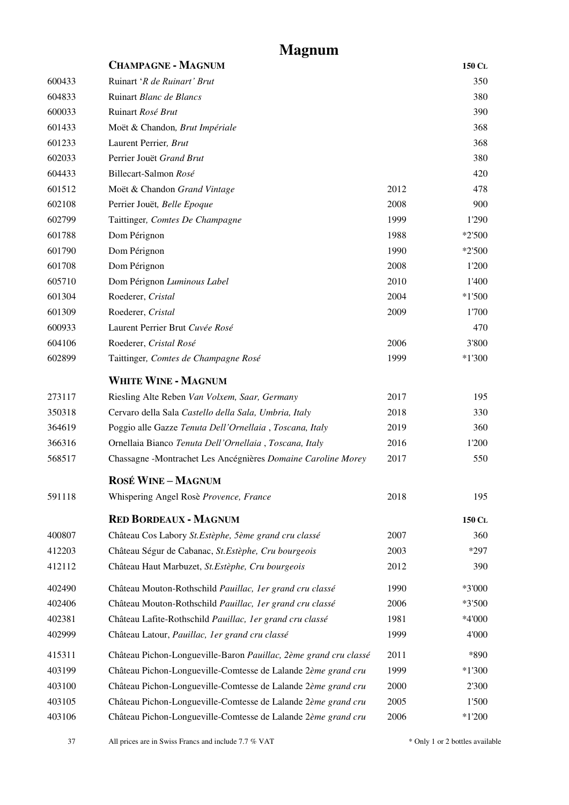# **Magnum**

<span id="page-36-0"></span>

| <b>CHAMPAGNE - MAGNUM</b>                                        |      | 150 CL   |
|------------------------------------------------------------------|------|----------|
| Ruinart 'R de Ruinart' Brut                                      |      | 350      |
| Ruinart Blanc de Blancs                                          |      | 380      |
| Ruinart Rosé Brut                                                |      | 390      |
| Moët & Chandon, Brut Impériale                                   |      | 368      |
| Laurent Perrier, Brut                                            |      | 368      |
| Perrier Jouët Grand Brut                                         |      | 380      |
| Billecart-Salmon Rosé                                            |      | 420      |
| Moët & Chandon Grand Vintage                                     | 2012 | 478      |
| Perrier Jouët, Belle Epoque                                      | 2008 | 900      |
| Taittinger, Comtes De Champagne                                  | 1999 | 1'290    |
| Dom Pérignon                                                     | 1988 | $*2'500$ |
| Dom Pérignon                                                     | 1990 | $*2'500$ |
| Dom Pérignon                                                     | 2008 | 1'200    |
| Dom Pérignon Luminous Label                                      | 2010 | 1'400    |
| Roederer, Cristal                                                | 2004 | $*1'500$ |
| Roederer, Cristal                                                | 2009 | 1'700    |
| Laurent Perrier Brut Cuvée Rosé                                  |      | 470      |
| Roederer, Cristal Rosé                                           | 2006 | 3'800    |
| Taittinger, Comtes de Champagne Rosé                             | 1999 | $*1'300$ |
| <b>WHITE WINE - MAGNUM</b>                                       |      |          |
| Riesling Alte Reben Van Volxem, Saar, Germany                    | 2017 | 195      |
| Cervaro della Sala Castello della Sala, Umbria, Italy            | 2018 | 330      |
| Poggio alle Gazze Tenuta Dell'Ornellaia, Toscana, Italy          | 2019 | 360      |
| Ornellaia Bianco Tenuta Dell'Ornellaia, Toscana, Italy           | 2016 | 1'200    |
| Chassagne -Montrachet Les Ancégnières Domaine Caroline Morey     | 2017 | 550      |
| <b>ROSÉ WINE-MAGNUM</b>                                          |      |          |
| Whispering Angel Rosè Provence, France                           | 2018 | 195      |
| <b>RED BORDEAUX - MAGNUM</b>                                     |      | 150 CL   |
| Château Cos Labory St. Estèphe, 5ème grand cru classé            | 2007 | 360      |
| Château Ségur de Cabanac, St.Estèphe, Cru bourgeois              | 2003 | *297     |
| Château Haut Marbuzet, St. Estèphe, Cru bourgeois                | 2012 | 390      |
| Château Mouton-Rothschild Pauillac, 1er grand cru classé         | 1990 | *3'000   |
| Château Mouton-Rothschild Pauillac, 1er grand cru classé         | 2006 | *3'500   |
| Château Lafite-Rothschild Pauillac, 1er grand cru classé         | 1981 | *4'000   |
| Château Latour, Pauillac, 1er grand cru classé                   | 1999 | 4'000    |
| Château Pichon-Longueville-Baron Pauillac, 2ème grand cru classé | 2011 | *890     |
| Château Pichon-Longueville-Comtesse de Lalande 2ème grand cru    | 1999 | $*1'300$ |
| Château Pichon-Longueville-Comtesse de Lalande 2ème grand cru    | 2000 | 2'300    |
| Château Pichon-Longueville-Comtesse de Lalande 2ème grand cru    | 2005 | 1'500    |
| Château Pichon-Longueville-Comtesse de Lalande 2ème grand cru    | 2006 | $*1'200$ |
|                                                                  |      |          |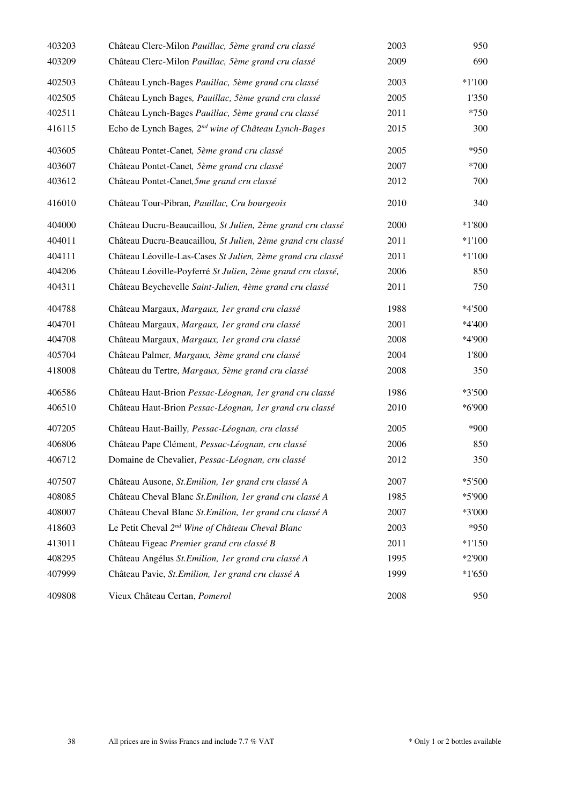| 403203 | Château Clerc-Milon Pauillac, 5ème grand cru classé              | 2003 | 950      |
|--------|------------------------------------------------------------------|------|----------|
| 403209 | Château Clerc-Milon Pauillac, 5ème grand cru classé              | 2009 | 690      |
| 402503 | Château Lynch-Bages Pauillac, 5ème grand cru classé              | 2003 | $*1'100$ |
| 402505 | Château Lynch Bages, Pauillac, 5ème grand cru classé             | 2005 | 1'350    |
| 402511 | Château Lynch-Bages Pauillac, 5ème grand cru classé              | 2011 | $*750$   |
| 416115 | Echo de Lynch Bages, 2 <sup>nd</sup> wine of Château Lynch-Bages | 2015 | 300      |
| 403605 | Château Pontet-Canet, 5ème grand cru classé                      | 2005 | *950     |
| 403607 | Château Pontet-Canet, 5ème grand cru classé                      | 2007 | *700     |
| 403612 | Château Pontet-Canet, 5me grand cru classé                       | 2012 | 700      |
| 416010 | Château Tour-Pibran, Pauillac, Cru bourgeois                     | 2010 | 340      |
| 404000 | Château Ducru-Beaucaillou, St Julien, 2ème grand cru classé      | 2000 | $*1'800$ |
| 404011 | Château Ducru-Beaucaillou, St Julien, 2ème grand cru classé      | 2011 | $*1'100$ |
| 404111 | Château Léoville-Las-Cases St Julien, 2ème grand cru classé      | 2011 | $*1'100$ |
| 404206 | Château Léoville-Poyferré St Julien, 2ème grand cru classé,      | 2006 | 850      |
| 404311 | Château Beychevelle Saint-Julien, 4ème grand cru classé          | 2011 | 750      |
| 404788 | Château Margaux, Margaux, 1er grand cru classé                   | 1988 | *4'500   |
| 404701 | Château Margaux, Margaux, 1er grand cru classé                   | 2001 | *4'400   |
| 404708 | Château Margaux, Margaux, 1er grand cru classé                   | 2008 | *4'900   |
| 405704 | Château Palmer, Margaux, 3ème grand cru classé                   | 2004 | 1'800    |
| 418008 | Château du Tertre, Margaux, 5ème grand cru classé                | 2008 | 350      |
| 406586 | Château Haut-Brion Pessac-Léognan, 1er grand cru classé          | 1986 | *3'500   |
| 406510 | Château Haut-Brion Pessac-Léognan, 1er grand cru classé          | 2010 | *6'900   |
| 407205 | Château Haut-Bailly, Pessac-Léognan, cru classé                  | 2005 | *900     |
| 406806 | Château Pape Clément, Pessac-Léognan, cru classé                 | 2006 | 850      |
| 406712 | Domaine de Chevalier, Pessac-Léognan, cru classé                 | 2012 | 350      |
| 407507 | Château Ausone, St. Emilion, 1er grand cru classé A              | 2007 | $*5'500$ |
| 408085 | Château Cheval Blanc St. Emilion, 1er grand cru classé A         | 1985 | *5'900   |
| 408007 | Château Cheval Blanc St. Emilion, 1er grand cru classé A         | 2007 | *3'000   |
| 418603 | Le Petit Cheval 2 <sup>nd</sup> Wine of Château Cheval Blanc     | 2003 | *950     |
| 413011 | Château Figeac Premier grand cru classé B                        | 2011 | $*1'150$ |
| 408295 | Château Angélus St. Emilion, 1er grand cru classé A              | 1995 | *2'900   |
| 407999 | Château Pavie, St. Emilion, 1er grand cru classé A               | 1999 | $*1'650$ |
| 409808 | Vieux Château Certan, Pomerol                                    | 2008 | 950      |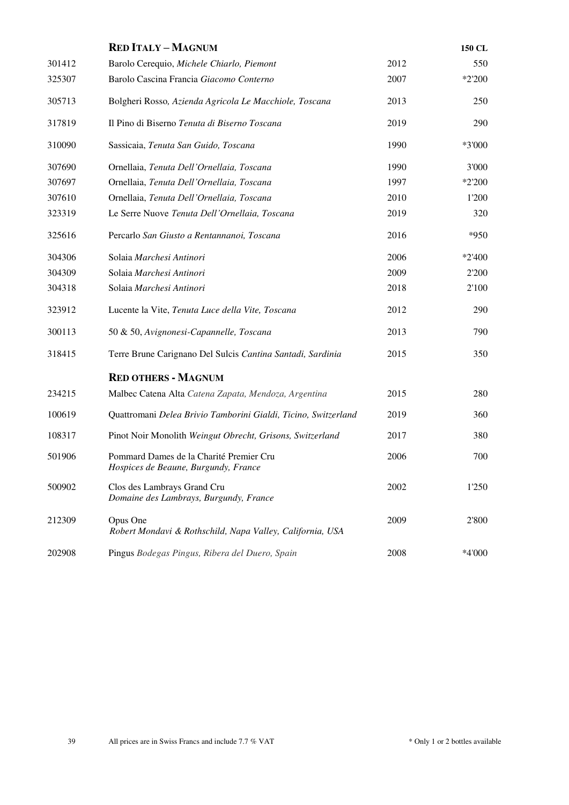|        | <b>RED ITALY-MAGNUM</b>                                                         |      | 150 CL   |
|--------|---------------------------------------------------------------------------------|------|----------|
| 301412 | Barolo Cerequio, Michele Chiarlo, Piemont                                       | 2012 | 550      |
| 325307 | Barolo Cascina Francia Giacomo Conterno                                         | 2007 | $*2'200$ |
| 305713 | Bolgheri Rosso, Azienda Agricola Le Macchiole, Toscana                          | 2013 | 250      |
| 317819 | Il Pino di Biserno Tenuta di Biserno Toscana                                    | 2019 | 290      |
| 310090 | Sassicaia, Tenuta San Guido, Toscana                                            | 1990 | *3'000   |
| 307690 | Ornellaia, Tenuta Dell'Ornellaia, Toscana                                       | 1990 | 3'000    |
| 307697 | Ornellaia, Tenuta Dell'Ornellaia, Toscana                                       | 1997 | *2'200   |
| 307610 | Ornellaia, Tenuta Dell'Ornellaia, Toscana                                       | 2010 | 1'200    |
| 323319 | Le Serre Nuove Tenuta Dell'Ornellaia, Toscana                                   | 2019 | 320      |
| 325616 | Percarlo San Giusto a Rentannanoi, Toscana                                      | 2016 | $*950$   |
| 304306 | Solaia Marchesi Antinori                                                        | 2006 | $*2'400$ |
| 304309 | Solaia Marchesi Antinori                                                        | 2009 | 2'200    |
| 304318 | Solaia Marchesi Antinori                                                        | 2018 | 2'100    |
| 323912 | Lucente la Vite, Tenuta Luce della Vite, Toscana                                | 2012 | 290      |
| 300113 | 50 & 50, Avignonesi-Capannelle, Toscana                                         | 2013 | 790      |
| 318415 | Terre Brune Carignano Del Sulcis Cantina Santadi, Sardinia                      | 2015 | 350      |
|        | <b>RED OTHERS - MAGNUM</b>                                                      |      |          |
| 234215 | Malbec Catena Alta Catena Zapata, Mendoza, Argentina                            | 2015 | 280      |
| 100619 | Quattromani Delea Brivio Tamborini Gialdi, Ticino, Switzerland                  | 2019 | 360      |
| 108317 | Pinot Noir Monolith Weingut Obrecht, Grisons, Switzerland                       | 2017 | 380      |
| 501906 | Pommard Dames de la Charité Premier Cru<br>Hospices de Beaune, Burgundy, France | 2006 | 700      |
| 500902 | Clos des Lambrays Grand Cru<br>Domaine des Lambrays, Burgundy, France           | 2002 | 1'250    |
| 212309 | Opus One<br>Robert Mondavi & Rothschild, Napa Valley, California, USA           | 2009 | 2'800    |
| 202908 | Pingus Bodegas Pingus, Ribera del Duero, Spain                                  | 2008 | *4'000   |